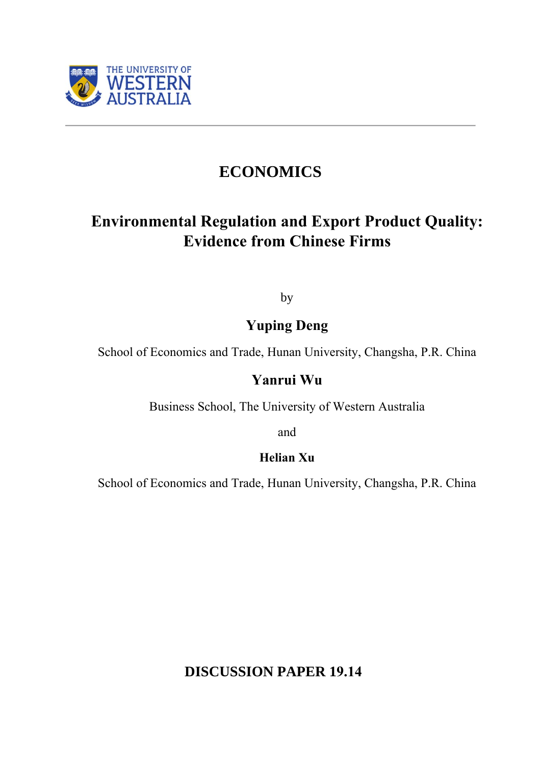

# **ECONOMICS**

# **Environmental Regulation and Export Product Quality: Evidence from Chinese Firms**

by

## **Yuping Deng**

School of Economics and Trade, Hunan University, Changsha, P.R. China

## **Yanrui Wu**

Business School, The University of Western Australia

and

## **Helian Xu**

School of Economics and Trade, Hunan University, Changsha, P.R. China

**DISCUSSION PAPER 19.14**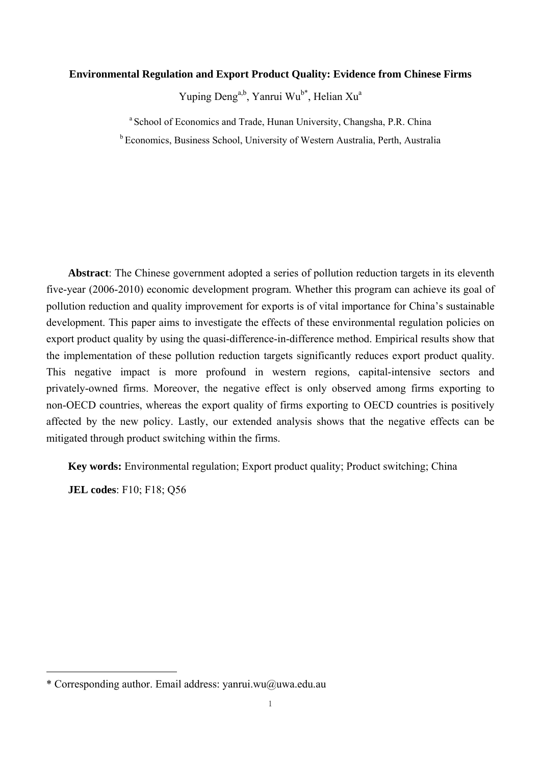#### **Environmental Regulation and Export Product Quality: Evidence from Chinese Firms**

Yuping Deng<sup>a,b</sup>, Yanrui Wu<sup>b\*</sup>, Helian Xu<sup>a</sup>

<sup>a</sup> School of Economics and Trade, Hunan University, Changsha, P.R. China

b Economics, Business School, University of Western Australia, Perth, Australia

**Abstract**: The Chinese government adopted a series of pollution reduction targets in its eleventh five-year (2006-2010) economic development program. Whether this program can achieve its goal of pollution reduction and quality improvement for exports is of vital importance for China's sustainable development. This paper aims to investigate the effects of these environmental regulation policies on export product quality by using the quasi-difference-in-difference method. Empirical results show that the implementation of these pollution reduction targets significantly reduces export product quality. This negative impact is more profound in western regions, capital-intensive sectors and privately-owned firms. Moreover, the negative effect is only observed among firms exporting to non-OECD countries, whereas the export quality of firms exporting to OECD countries is positively affected by the new policy. Lastly, our extended analysis shows that the negative effects can be mitigated through product switching within the firms.

**Key words:** Environmental regulation; Export product quality; Product switching; China

**JEL codes**: F10; F18; Q56

<sup>\*</sup> Corresponding author. Email address: yanrui.wu@uwa.edu.au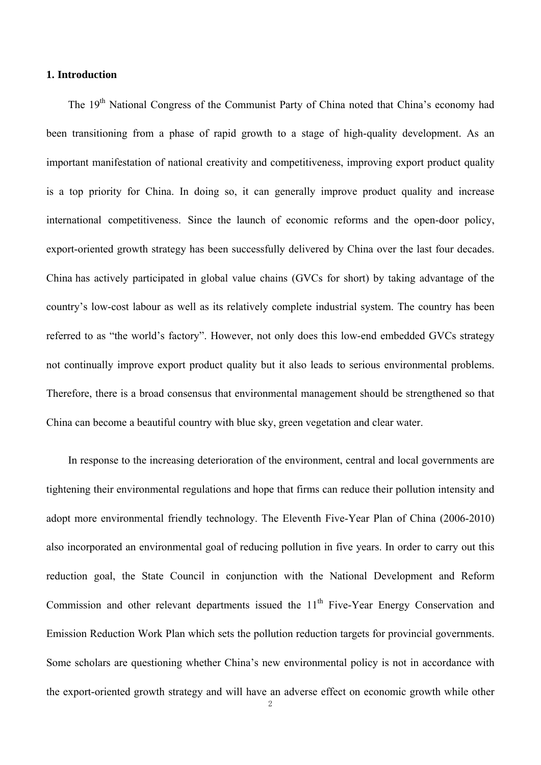## **1. Introduction**

The 19<sup>th</sup> National Congress of the Communist Party of China noted that China's economy had been transitioning from a phase of rapid growth to a stage of high-quality development. As an important manifestation of national creativity and competitiveness, improving export product quality is a top priority for China. In doing so, it can generally improve product quality and increase international competitiveness. Since the launch of economic reforms and the open-door policy, export-oriented growth strategy has been successfully delivered by China over the last four decades. China has actively participated in global value chains (GVCs for short) by taking advantage of the country's low-cost labour as well as its relatively complete industrial system. The country has been referred to as "the world's factory". However, not only does this low-end embedded GVCs strategy not continually improve export product quality but it also leads to serious environmental problems. Therefore, there is a broad consensus that environmental management should be strengthened so that China can become a beautiful country with blue sky, green vegetation and clear water.

In response to the increasing deterioration of the environment, central and local governments are tightening their environmental regulations and hope that firms can reduce their pollution intensity and adopt more environmental friendly technology. The Eleventh Five-Year Plan of China (2006-2010) also incorporated an environmental goal of reducing pollution in five years. In order to carry out this reduction goal, the State Council in conjunction with the National Development and Reform Commission and other relevant departments issued the  $11<sup>th</sup>$  Five-Year Energy Conservation and Emission Reduction Work Plan which sets the pollution reduction targets for provincial governments. Some scholars are questioning whether China's new environmental policy is not in accordance with the export-oriented growth strategy and will have an adverse effect on economic growth while other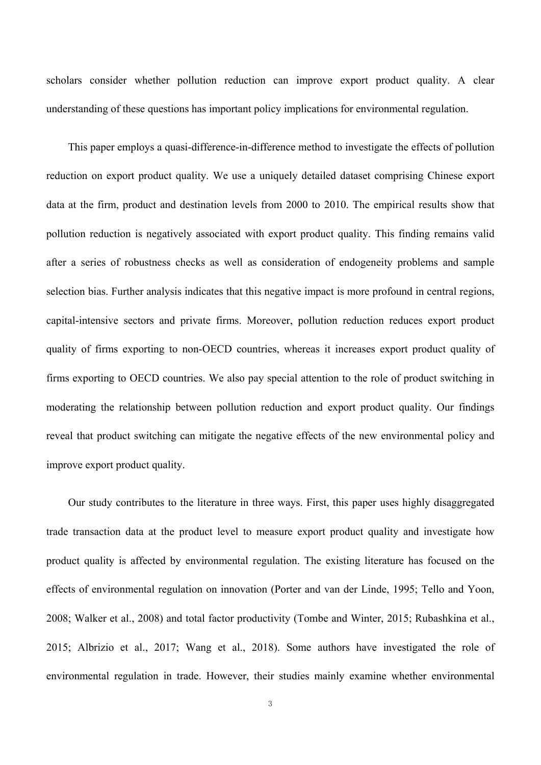scholars consider whether pollution reduction can improve export product quality. A clear understanding of these questions has important policy implications for environmental regulation.

This paper employs a quasi-difference-in-difference method to investigate the effects of pollution reduction on export product quality. We use a uniquely detailed dataset comprising Chinese export data at the firm, product and destination levels from 2000 to 2010. The empirical results show that pollution reduction is negatively associated with export product quality. This finding remains valid after a series of robustness checks as well as consideration of endogeneity problems and sample selection bias. Further analysis indicates that this negative impact is more profound in central regions, capital-intensive sectors and private firms. Moreover, pollution reduction reduces export product quality of firms exporting to non-OECD countries, whereas it increases export product quality of firms exporting to OECD countries. We also pay special attention to the role of product switching in moderating the relationship between pollution reduction and export product quality. Our findings reveal that product switching can mitigate the negative effects of the new environmental policy and improve export product quality.

Our study contributes to the literature in three ways. First, this paper uses highly disaggregated trade transaction data at the product level to measure export product quality and investigate how product quality is affected by environmental regulation. The existing literature has focused on the effects of environmental regulation on innovation (Porter and van der Linde, 1995; Tello and Yoon, 2008; Walker et al., 2008) and total factor productivity (Tombe and Winter, 2015; Rubashkina et al., 2015; Albrizio et al., 2017; Wang et al., 2018). Some authors have investigated the role of environmental regulation in trade. However, their studies mainly examine whether environmental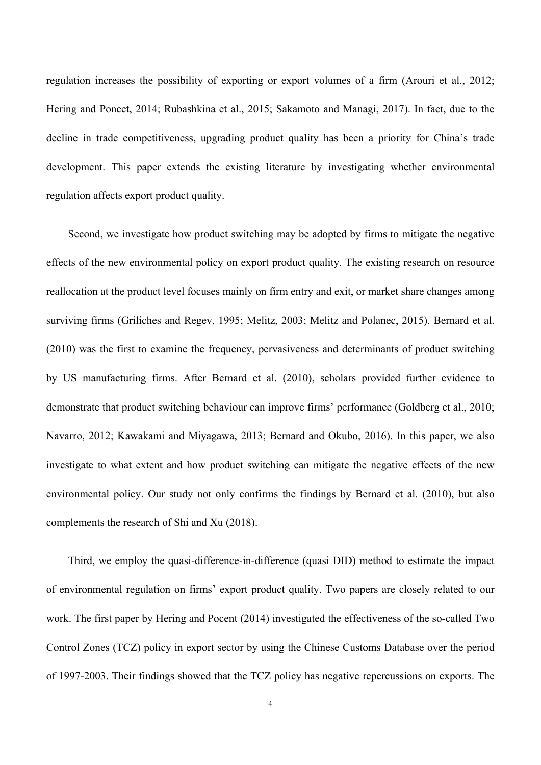regulation increases the possibility of exporting or export volumes of a firm (Arouri et al., 2012; Hering and Poncet, 2014; Rubashkina et al., 2015; Sakamoto and Managi, 2017). In fact, due to the decline in trade competitiveness, upgrading product quality has been a priority for China's trade development. This paper extends the existing literature by investigating whether environmental regulation affects export product quality.

Second, we investigate how product switching may be adopted by firms to mitigate the negative effects of the new environmental policy on export product quality. The existing research on resource reallocation at the product level focuses mainly on firm entry and exit, or market share changes among surviving firms (Griliches and Regev, 1995; Melitz, 2003; Melitz and Polanec, 2015). Bernard et al. (2010) was the first to examine the frequency, pervasiveness and determinants of product switching by US manufacturing firms. After Bernard et al. (2010), scholars provided further evidence to demonstrate that product switching behaviour can improve firms' performance (Goldberg et al., 2010; Navarro, 2012; Kawakami and Miyagawa, 2013; Bernard and Okubo, 2016). In this paper, we also investigate to what extent and how product switching can mitigate the negative effects of the new environmental policy. Our study not only confirms the findings by Bernard et al. (2010), but also complements the research of Shi and Xu (2018).

Third, we employ the quasi-difference-in-difference (quasi DID) method to estimate the impact of environmental regulation on firms' export product quality. Two papers are closely related to our work. The first paper by Hering and Pocent (2014) investigated the effectiveness of the so-called Two Control Zones (TCZ) policy in export sector by using the Chinese Customs Database over the period of 1997-2003. Their findings showed that the TCZ policy has negative repercussions on exports. The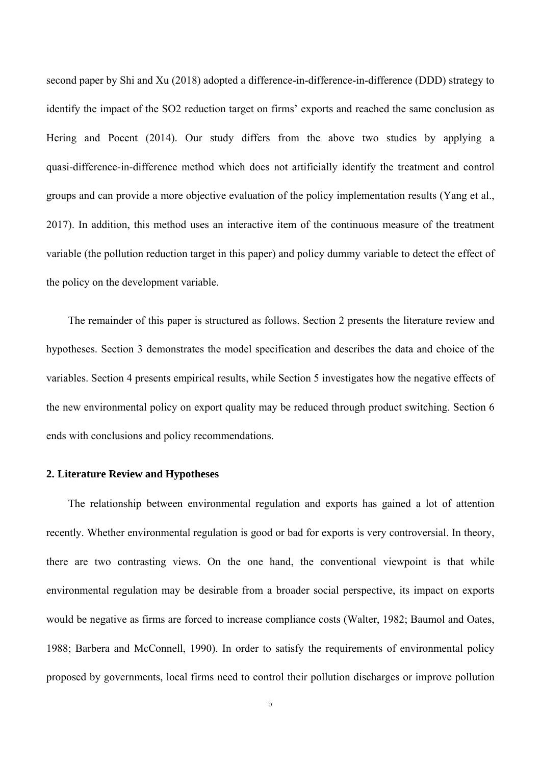second paper by Shi and Xu (2018) adopted a difference-in-difference-in-difference (DDD) strategy to identify the impact of the SO2 reduction target on firms' exports and reached the same conclusion as Hering and Pocent (2014). Our study differs from the above two studies by applying a quasi-difference-in-difference method which does not artificially identify the treatment and control groups and can provide a more objective evaluation of the policy implementation results (Yang et al., 2017). In addition, this method uses an interactive item of the continuous measure of the treatment variable (the pollution reduction target in this paper) and policy dummy variable to detect the effect of the policy on the development variable.

The remainder of this paper is structured as follows. Section 2 presents the literature review and hypotheses. Section 3 demonstrates the model specification and describes the data and choice of the variables. Section 4 presents empirical results, while Section 5 investigates how the negative effects of the new environmental policy on export quality may be reduced through product switching. Section 6 ends with conclusions and policy recommendations.

#### **2. Literature Review and Hypotheses**

The relationship between environmental regulation and exports has gained a lot of attention recently. Whether environmental regulation is good or bad for exports is very controversial. In theory, there are two contrasting views. On the one hand, the conventional viewpoint is that while environmental regulation may be desirable from a broader social perspective, its impact on exports would be negative as firms are forced to increase compliance costs (Walter, 1982; Baumol and Oates, 1988; Barbera and McConnell, 1990). In order to satisfy the requirements of environmental policy proposed by governments, local firms need to control their pollution discharges or improve pollution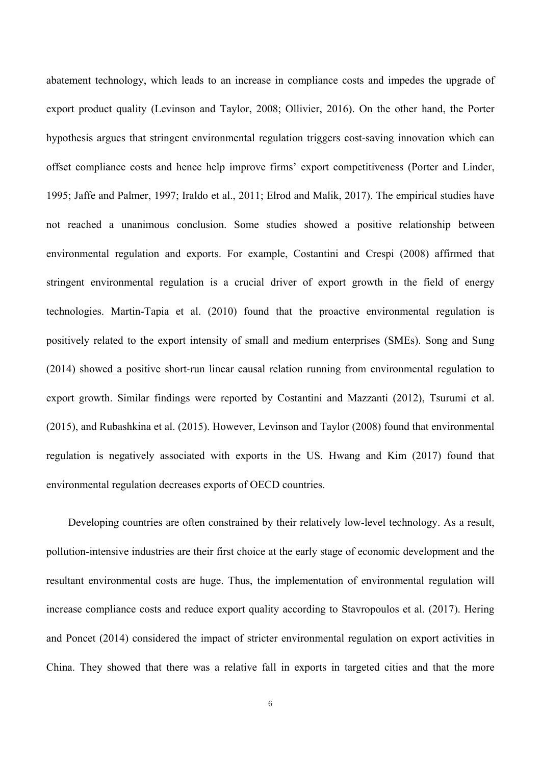abatement technology, which leads to an increase in compliance costs and impedes the upgrade of export product quality (Levinson and Taylor, 2008; Ollivier, 2016). On the other hand, the Porter hypothesis argues that stringent environmental regulation triggers cost-saving innovation which can offset compliance costs and hence help improve firms' export competitiveness (Porter and Linder, 1995; Jaffe and Palmer, 1997; Iraldo et al., 2011; Elrod and Malik, 2017). The empirical studies have not reached a unanimous conclusion. Some studies showed a positive relationship between environmental regulation and exports. For example, Costantini and Crespi (2008) affirmed that stringent environmental regulation is a crucial driver of export growth in the field of energy technologies. Martin-Tapia et al. (2010) found that the proactive environmental regulation is positively related to the export intensity of small and medium enterprises (SMEs). Song and Sung (2014) showed a positive short-run linear causal relation running from environmental regulation to export growth. Similar findings were reported by Costantini and Mazzanti (2012), Tsurumi et al. (2015), and Rubashkina et al. (2015). However, Levinson and Taylor (2008) found that environmental regulation is negatively associated with exports in the US. Hwang and Kim (2017) found that environmental regulation decreases exports of OECD countries.

Developing countries are often constrained by their relatively low-level technology. As a result, pollution-intensive industries are their first choice at the early stage of economic development and the resultant environmental costs are huge. Thus, the implementation of environmental regulation will increase compliance costs and reduce export quality according to Stavropoulos et al. (2017). Hering and Poncet (2014) considered the impact of stricter environmental regulation on export activities in China. They showed that there was a relative fall in exports in targeted cities and that the more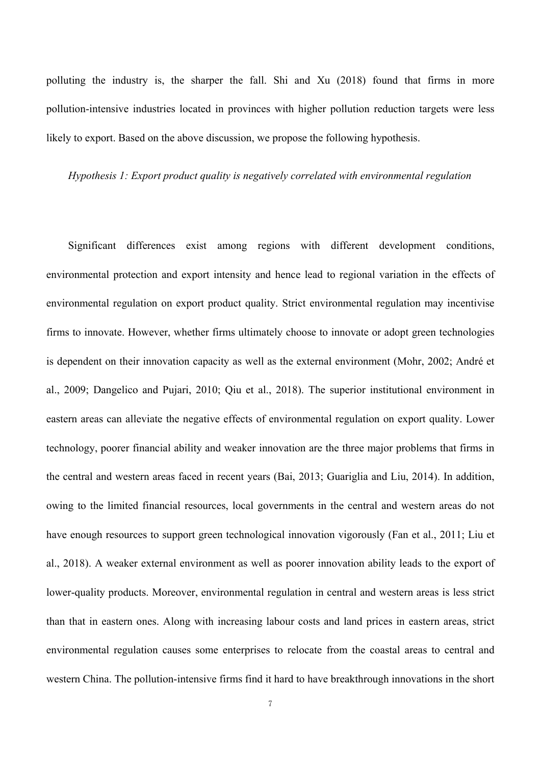polluting the industry is, the sharper the fall. Shi and Xu (2018) found that firms in more pollution-intensive industries located in provinces with higher pollution reduction targets were less likely to export. Based on the above discussion, we propose the following hypothesis.

#### *Hypothesis 1: Export product quality is negatively correlated with environmental regulation*

Significant differences exist among regions with different development conditions, environmental protection and export intensity and hence lead to regional variation in the effects of environmental regulation on export product quality. Strict environmental regulation may incentivise firms to innovate. However, whether firms ultimately choose to innovate or adopt green technologies is dependent on their innovation capacity as well as the external environment (Mohr, 2002; André et al., 2009; Dangelico and Pujari, 2010; Qiu et al., 2018). The superior institutional environment in eastern areas can alleviate the negative effects of environmental regulation on export quality. Lower technology, poorer financial ability and weaker innovation are the three major problems that firms in the central and western areas faced in recent years (Bai, 2013; Guariglia and Liu, 2014). In addition, owing to the limited financial resources, local governments in the central and western areas do not have enough resources to support green technological innovation vigorously (Fan et al., 2011; Liu et al., 2018). A weaker external environment as well as poorer innovation ability leads to the export of lower-quality products. Moreover, environmental regulation in central and western areas is less strict than that in eastern ones. Along with increasing labour costs and land prices in eastern areas, strict environmental regulation causes some enterprises to relocate from the coastal areas to central and western China. The pollution-intensive firms find it hard to have breakthrough innovations in the short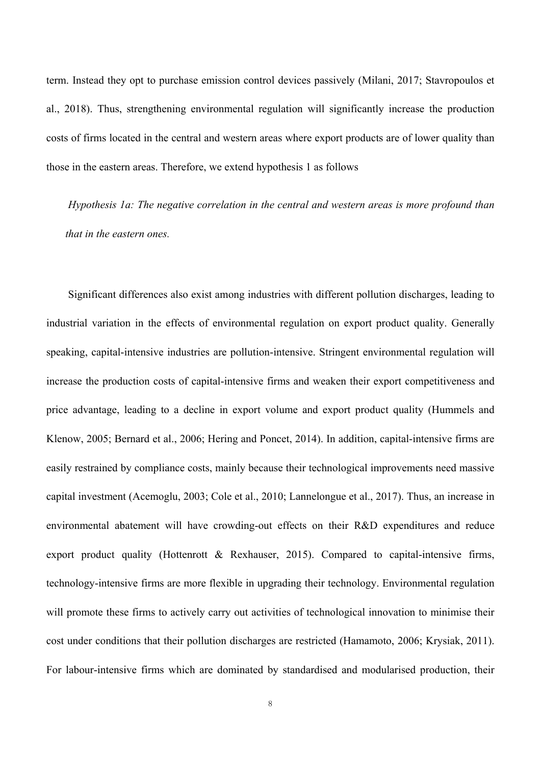term. Instead they opt to purchase emission control devices passively (Milani, 2017; Stavropoulos et al., 2018). Thus, strengthening environmental regulation will significantly increase the production costs of firms located in the central and western areas where export products are of lower quality than those in the eastern areas. Therefore, we extend hypothesis 1 as follows

*Hypothesis 1a: The negative correlation in the central and western areas is more profound than that in the eastern ones.* 

Significant differences also exist among industries with different pollution discharges, leading to industrial variation in the effects of environmental regulation on export product quality. Generally speaking, capital-intensive industries are pollution-intensive. Stringent environmental regulation will increase the production costs of capital-intensive firms and weaken their export competitiveness and price advantage, leading to a decline in export volume and export product quality (Hummels and Klenow, 2005; Bernard et al., 2006; Hering and Poncet, 2014). In addition, capital-intensive firms are easily restrained by compliance costs, mainly because their technological improvements need massive capital investment (Acemoglu, 2003; Cole et al., 2010; Lannelongue et al., 2017). Thus, an increase in environmental abatement will have crowding-out effects on their R&D expenditures and reduce export product quality (Hottenrott & Rexhauser, 2015). Compared to capital-intensive firms, technology-intensive firms are more flexible in upgrading their technology. Environmental regulation will promote these firms to actively carry out activities of technological innovation to minimise their cost under conditions that their pollution discharges are restricted (Hamamoto, 2006; Krysiak, 2011). For labour-intensive firms which are dominated by standardised and modularised production, their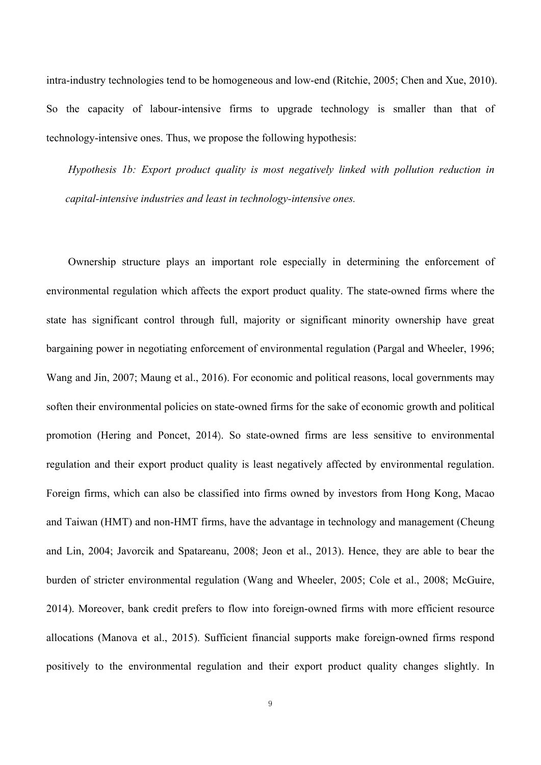intra-industry technologies tend to be homogeneous and low-end (Ritchie, 2005; Chen and Xue, 2010). So the capacity of labour-intensive firms to upgrade technology is smaller than that of technology-intensive ones. Thus, we propose the following hypothesis:

*Hypothesis 1b: Export product quality is most negatively linked with pollution reduction in capital-intensive industries and least in technology-intensive ones.* 

Ownership structure plays an important role especially in determining the enforcement of environmental regulation which affects the export product quality. The state-owned firms where the state has significant control through full, majority or significant minority ownership have great bargaining power in negotiating enforcement of environmental regulation (Pargal and Wheeler, 1996; Wang and Jin, 2007; Maung et al., 2016). For economic and political reasons, local governments may soften their environmental policies on state-owned firms for the sake of economic growth and political promotion (Hering and Poncet, 2014). So state-owned firms are less sensitive to environmental regulation and their export product quality is least negatively affected by environmental regulation. Foreign firms, which can also be classified into firms owned by investors from Hong Kong, Macao and Taiwan (HMT) and non-HMT firms, have the advantage in technology and management (Cheung and Lin, 2004; Javorcik and Spatareanu, 2008; Jeon et al., 2013). Hence, they are able to bear the burden of stricter environmental regulation (Wang and Wheeler, 2005; Cole et al., 2008; McGuire, 2014). Moreover, bank credit prefers to flow into foreign-owned firms with more efficient resource allocations (Manova et al., 2015). Sufficient financial supports make foreign-owned firms respond positively to the environmental regulation and their export product quality changes slightly. In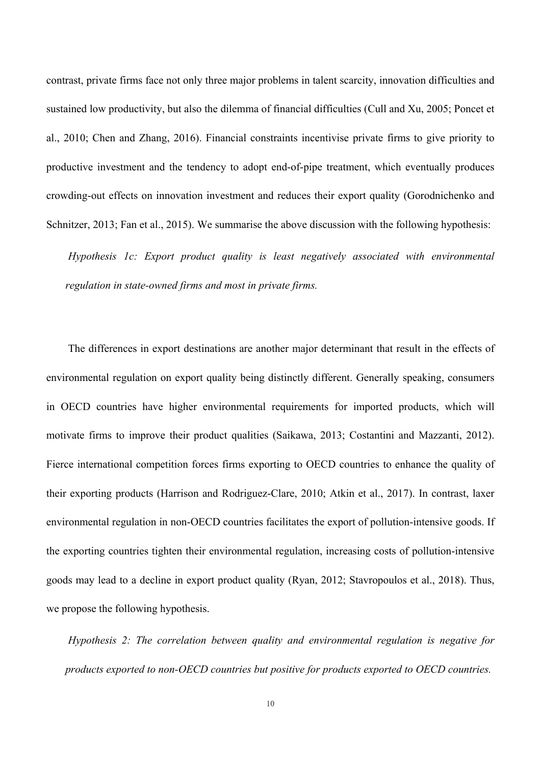contrast, private firms face not only three major problems in talent scarcity, innovation difficulties and sustained low productivity, but also the dilemma of financial difficulties (Cull and Xu, 2005; Poncet et al., 2010; Chen and Zhang, 2016). Financial constraints incentivise private firms to give priority to productive investment and the tendency to adopt end-of-pipe treatment, which eventually produces crowding-out effects on innovation investment and reduces their export quality (Gorodnichenko and Schnitzer, 2013; Fan et al., 2015). We summarise the above discussion with the following hypothesis:

*Hypothesis 1c: Export product quality is least negatively associated with environmental regulation in state-owned firms and most in private firms.* 

The differences in export destinations are another major determinant that result in the effects of environmental regulation on export quality being distinctly different. Generally speaking, consumers in OECD countries have higher environmental requirements for imported products, which will motivate firms to improve their product qualities (Saikawa, 2013; Costantini and Mazzanti, 2012). Fierce international competition forces firms exporting to OECD countries to enhance the quality of their exporting products (Harrison and Rodriguez-Clare, 2010; Atkin et al., 2017). In contrast, laxer environmental regulation in non-OECD countries facilitates the export of pollution-intensive goods. If the exporting countries tighten their environmental regulation, increasing costs of pollution-intensive goods may lead to a decline in export product quality (Ryan, 2012; Stavropoulos et al., 2018). Thus, we propose the following hypothesis.

*Hypothesis 2: The correlation between quality and environmental regulation is negative for products exported to non-OECD countries but positive for products exported to OECD countries.*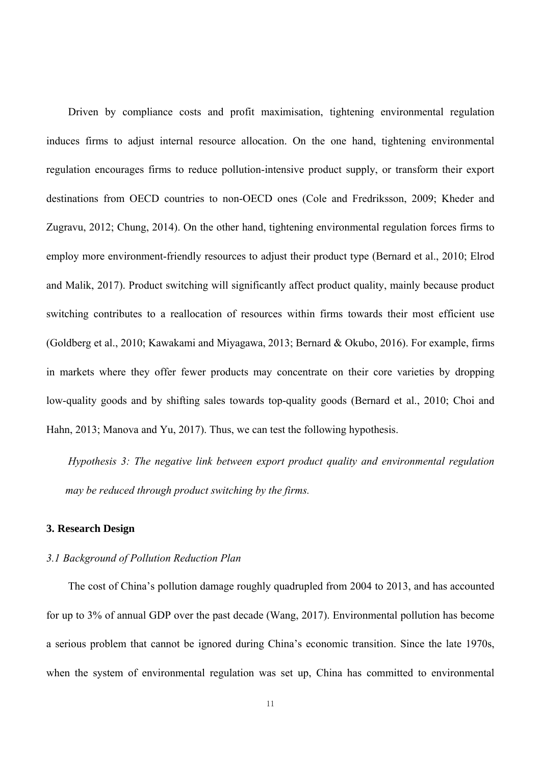Driven by compliance costs and profit maximisation, tightening environmental regulation induces firms to adjust internal resource allocation. On the one hand, tightening environmental regulation encourages firms to reduce pollution-intensive product supply, or transform their export destinations from OECD countries to non-OECD ones (Cole and Fredriksson, 2009; Kheder and Zugravu, 2012; Chung, 2014). On the other hand, tightening environmental regulation forces firms to employ more environment-friendly resources to adjust their product type (Bernard et al., 2010; Elrod and Malik, 2017). Product switching will significantly affect product quality, mainly because product switching contributes to a reallocation of resources within firms towards their most efficient use (Goldberg et al., 2010; Kawakami and Miyagawa, 2013; Bernard & Okubo, 2016). For example, firms in markets where they offer fewer products may concentrate on their core varieties by dropping low-quality goods and by shifting sales towards top-quality goods (Bernard et al., 2010; Choi and Hahn, 2013; Manova and Yu, 2017). Thus, we can test the following hypothesis.

*Hypothesis 3: The negative link between export product quality and environmental regulation may be reduced through product switching by the firms.* 

#### **3. Research Design**

#### *3.1 Background of Pollution Reduction Plan*

The cost of China's pollution damage roughly quadrupled from 2004 to 2013, and has accounted for up to 3% of annual GDP over the past decade (Wang, 2017). Environmental pollution has become a serious problem that cannot be ignored during China's economic transition. Since the late 1970s, when the system of environmental regulation was set up, China has committed to environmental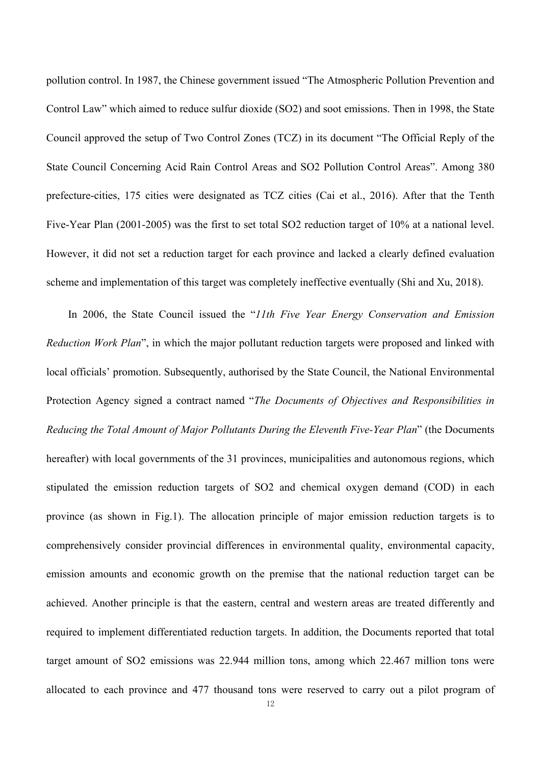pollution control. In 1987, the Chinese government issued "The Atmospheric Pollution Prevention and Control Law" which aimed to reduce sulfur dioxide (SO2) and soot emissions. Then in 1998, the State Council approved the setup of Two Control Zones (TCZ) in its document "The Official Reply of the State Council Concerning Acid Rain Control Areas and SO2 Pollution Control Areas". Among 380 prefecture-cities, 175 cities were designated as TCZ cities (Cai et al., 2016). After that the Tenth Five-Year Plan (2001-2005) was the first to set total SO2 reduction target of 10% at a national level. However, it did not set a reduction target for each province and lacked a clearly defined evaluation scheme and implementation of this target was completely ineffective eventually (Shi and Xu, 2018).

In 2006, the State Council issued the "*11th Five Year Energy Conservation and Emission Reduction Work Plan*", in which the major pollutant reduction targets were proposed and linked with local officials' promotion. Subsequently, authorised by the State Council, the National Environmental Protection Agency signed a contract named "*The Documents of Objectives and Responsibilities in Reducing the Total Amount of Major Pollutants During the Eleventh Five-Year Plan*" (the Documents hereafter) with local governments of the 31 provinces, municipalities and autonomous regions, which stipulated the emission reduction targets of SO2 and chemical oxygen demand (COD) in each province (as shown in Fig.1). The allocation principle of major emission reduction targets is to comprehensively consider provincial differences in environmental quality, environmental capacity, emission amounts and economic growth on the premise that the national reduction target can be achieved. Another principle is that the eastern, central and western areas are treated differently and required to implement differentiated reduction targets. In addition, the Documents reported that total target amount of SO2 emissions was 22.944 million tons, among which 22.467 million tons were allocated to each province and 477 thousand tons were reserved to carry out a pilot program of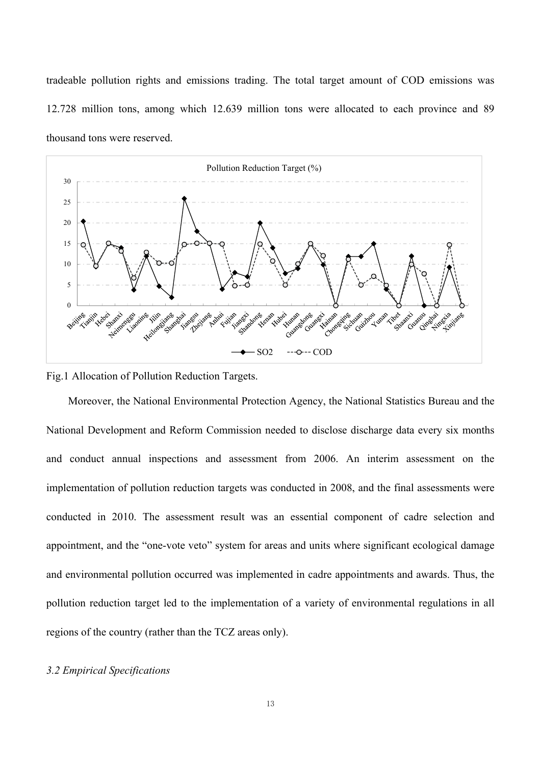tradeable pollution rights and emissions trading. The total target amount of COD emissions was 12.728 million tons, among which 12.639 million tons were allocated to each province and 89 thousand tons were reserved.



Fig.1 Allocation of Pollution Reduction Targets.

Moreover, the National Environmental Protection Agency, the National Statistics Bureau and the National Development and Reform Commission needed to disclose discharge data every six months and conduct annual inspections and assessment from 2006. An interim assessment on the implementation of pollution reduction targets was conducted in 2008, and the final assessments were conducted in 2010. The assessment result was an essential component of cadre selection and appointment, and the "one-vote veto" system for areas and units where significant ecological damage and environmental pollution occurred was implemented in cadre appointments and awards. Thus, the pollution reduction target led to the implementation of a variety of environmental regulations in all regions of the country (rather than the TCZ areas only).

### *3.2 Empirical Specifications*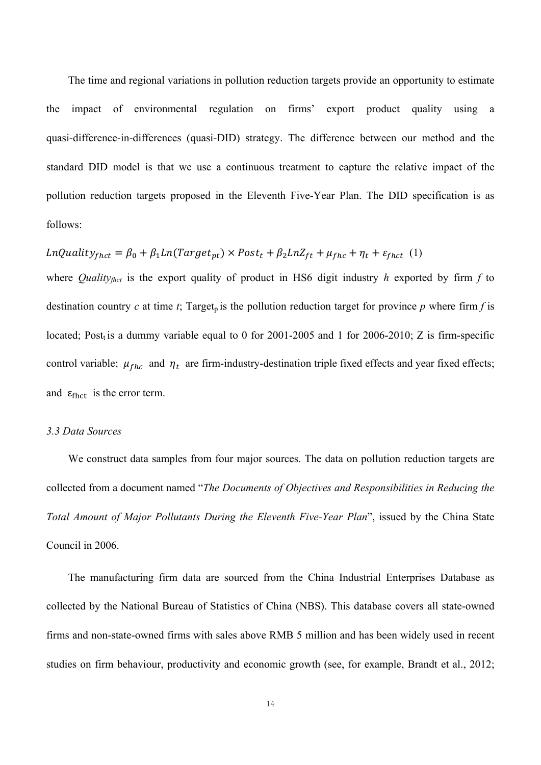The time and regional variations in pollution reduction targets provide an opportunity to estimate the impact of environmental regulation on firms' export product quality using a quasi-difference-in-differences (quasi-DID) strategy. The difference between our method and the standard DID model is that we use a continuous treatment to capture the relative impact of the pollution reduction targets proposed in the Eleventh Five-Year Plan. The DID specification is as follows:

LnQuality<sub>frct</sub> = 
$$
\beta_0 + \beta_1 Ln(Target_{pt}) \times Post_t + \beta_2 LnZ_{ft} + \mu_{fhc} + \eta_t + \varepsilon_{fhc} (1)
$$

where *Quality<sub>fhct</sub>* is the export quality of product in HS6 digit industry *h* exported by firm *f* to destination country *c* at time *t*; Target<sub>p</sub> is the pollution reduction target for province *p* where firm *f* is located; Post<sub>t</sub> is a dummy variable equal to 0 for 2001-2005 and 1 for 2006-2010; Z is firm-specific control variable;  $\mu_{fhc}$  and  $\eta_t$  are firm-industry-destination triple fixed effects and year fixed effects; and  $\varepsilon_{\text{fhot}}$  is the error term.

#### *3.3 Data Sources*

We construct data samples from four major sources. The data on pollution reduction targets are collected from a document named "*The Documents of Objectives and Responsibilities in Reducing the Total Amount of Major Pollutants During the Eleventh Five-Year Plan*", issued by the China State Council in 2006.

The manufacturing firm data are sourced from the China Industrial Enterprises Database as collected by the National Bureau of Statistics of China (NBS). This database covers all state-owned firms and non-state-owned firms with sales above RMB 5 million and has been widely used in recent studies on firm behaviour, productivity and economic growth (see, for example, Brandt et al., 2012;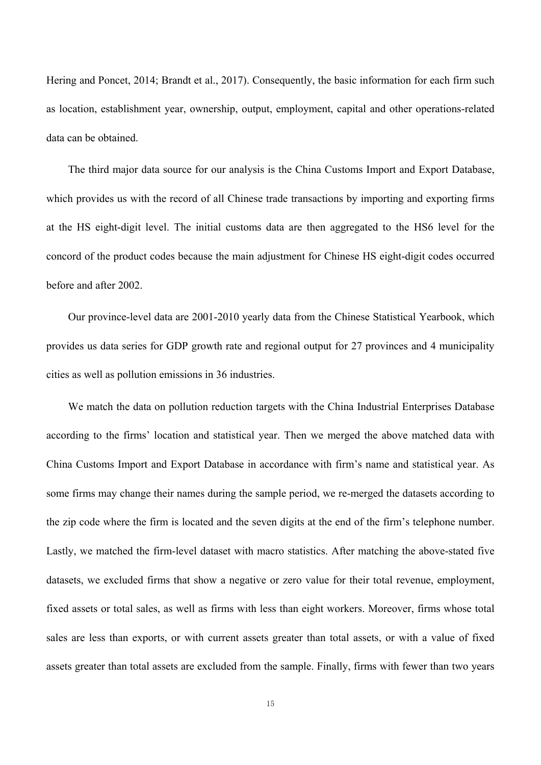Hering and Poncet, 2014; Brandt et al., 2017). Consequently, the basic information for each firm such as location, establishment year, ownership, output, employment, capital and other operations-related data can be obtained.

The third major data source for our analysis is the China Customs Import and Export Database, which provides us with the record of all Chinese trade transactions by importing and exporting firms at the HS eight-digit level. The initial customs data are then aggregated to the HS6 level for the concord of the product codes because the main adjustment for Chinese HS eight-digit codes occurred before and after 2002.

Our province-level data are 2001-2010 yearly data from the Chinese Statistical Yearbook, which provides us data series for GDP growth rate and regional output for 27 provinces and 4 municipality cities as well as pollution emissions in 36 industries.

We match the data on pollution reduction targets with the China Industrial Enterprises Database according to the firms' location and statistical year. Then we merged the above matched data with China Customs Import and Export Database in accordance with firm's name and statistical year. As some firms may change their names during the sample period, we re-merged the datasets according to the zip code where the firm is located and the seven digits at the end of the firm's telephone number. Lastly, we matched the firm-level dataset with macro statistics. After matching the above-stated five datasets, we excluded firms that show a negative or zero value for their total revenue, employment, fixed assets or total sales, as well as firms with less than eight workers. Moreover, firms whose total sales are less than exports, or with current assets greater than total assets, or with a value of fixed assets greater than total assets are excluded from the sample. Finally, firms with fewer than two years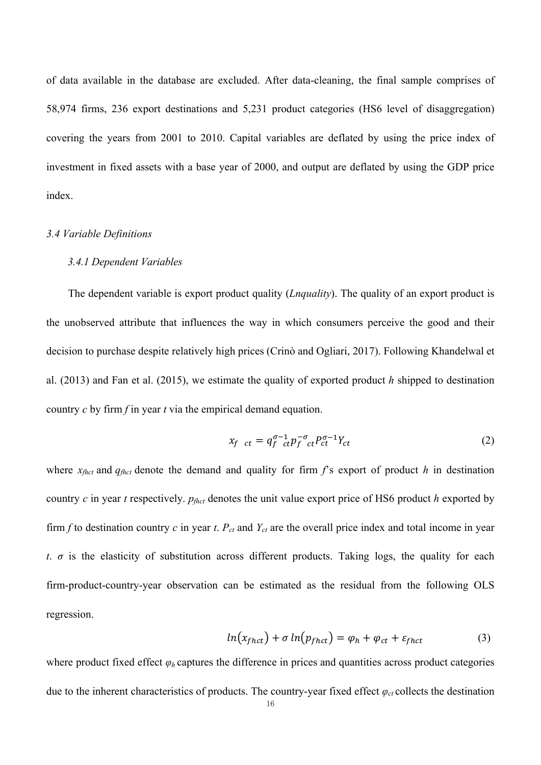of data available in the database are excluded. After data-cleaning, the final sample comprises of 58,974 firms, 236 export destinations and 5,231 product categories (HS6 level of disaggregation) covering the years from 2001 to 2010. Capital variables are deflated by using the price index of investment in fixed assets with a base year of 2000, and output are deflated by using the GDP price index.

## *3.4 Variable Definitions*

#### *3.4.1 Dependent Variables*

The dependent variable is export product quality (*Lnquality*). The quality of an export product is the unobserved attribute that influences the way in which consumers perceive the good and their decision to purchase despite relatively high prices (Crinò and Ogliari, 2017). Following Khandelwal et al. (2013) and Fan et al. (2015), we estimate the quality of exported product *h* shipped to destination country *c* by firm *f* in year *t* via the empirical demand equation.

$$
x_f \t_{ct} = q_f^{\sigma - 1} t_f^{-\sigma} t_f^{-\sigma} t_c^{T} + Y_{ct} \t\t(2)
$$

where  $x_{\text{fhot}}$  and  $q_{\text{fhot}}$  denote the demand and quality for firm  $f$ 's export of product  $h$  in destination country *c* in year *t* respectively. *pfhct* denotes the unit value export price of HS6 product *h* exported by firm  $f$  to destination country  $c$  in year  $t$ .  $P_{ct}$  and  $Y_{ct}$  are the overall price index and total income in year *t*.  $\sigma$  is the elasticity of substitution across different products. Taking logs, the quality for each firm-product-country-year observation can be estimated as the residual from the following OLS regression.

$$
ln(x_{f h c t}) + \sigma ln(p_{f h c t}) = \varphi_h + \varphi_{c t} + \varepsilon_{f h c t} \tag{3}
$$

where product fixed effect  $\varphi_h$  captures the difference in prices and quantities across product categories due to the inherent characteristics of products. The country-year fixed effect  $\varphi_{ct}$  collects the destination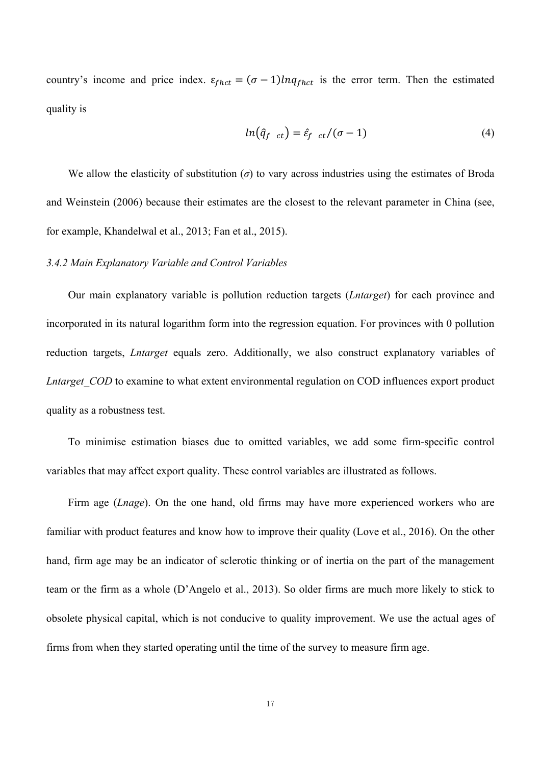country's income and price index.  $\varepsilon_{f h c t} = (\sigma - 1) ln q_{f h c t}$  is the error term. Then the estimated quality is

$$
ln(\hat{q}_{f \ ct}) = \hat{\varepsilon}_{f \ ct}/(\sigma - 1) \tag{4}
$$

We allow the elasticity of substitution  $(\sigma)$  to vary across industries using the estimates of Broda and Weinstein (2006) because their estimates are the closest to the relevant parameter in China (see, for example, Khandelwal et al., 2013; Fan et al., 2015).

#### *3.4.2 Main Explanatory Variable and Control Variables*

Our main explanatory variable is pollution reduction targets (*Lntarget*) for each province and incorporated in its natural logarithm form into the regression equation. For provinces with 0 pollution reduction targets, *Lntarget* equals zero. Additionally, we also construct explanatory variables of *Lntarget COD* to examine to what extent environmental regulation on COD influences export product quality as a robustness test.

To minimise estimation biases due to omitted variables, we add some firm-specific control variables that may affect export quality. These control variables are illustrated as follows.

Firm age (*Lnage*). On the one hand, old firms may have more experienced workers who are familiar with product features and know how to improve their quality (Love et al., 2016). On the other hand, firm age may be an indicator of sclerotic thinking or of inertia on the part of the management team or the firm as a whole (D'Angelo et al., 2013). So older firms are much more likely to stick to obsolete physical capital, which is not conducive to quality improvement. We use the actual ages of firms from when they started operating until the time of the survey to measure firm age.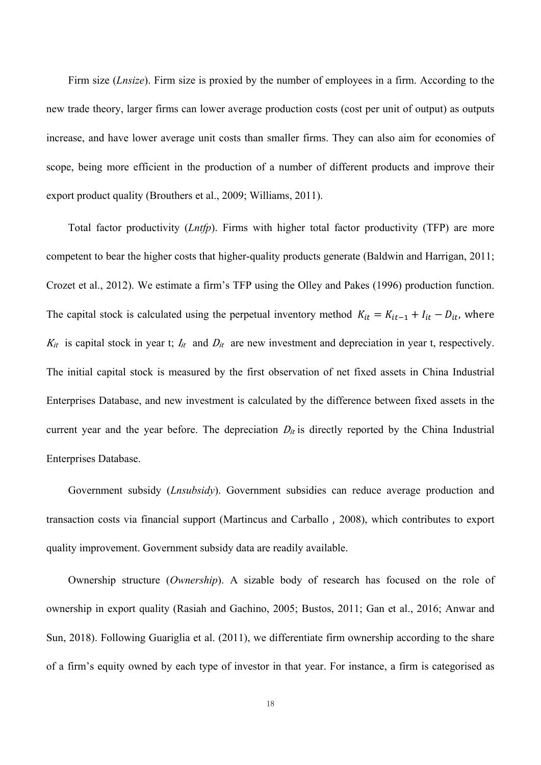Firm size (*Lnsize*). Firm size is proxied by the number of employees in a firm. According to the new trade theory, larger firms can lower average production costs (cost per unit of output) as outputs increase, and have lower average unit costs than smaller firms. They can also aim for economies of scope, being more efficient in the production of a number of different products and improve their export product quality (Brouthers et al., 2009; Williams, 2011).

Total factor productivity (*Lntfp*). Firms with higher total factor productivity (TFP) are more competent to bear the higher costs that higher-quality products generate (Baldwin and Harrigan, 2011; Crozet et al., 2012). We estimate a firm's TFP using the Olley and Pakes (1996) production function. The capital stock is calculated using the perpetual inventory method  $K_{it} = K_{it-1} + I_{it} - D_{it}$ , where  $K_{it}$  is capital stock in year t;  $I_{it}$  and  $D_{it}$  are new investment and depreciation in year t, respectively. The initial capital stock is measured by the first observation of net fixed assets in China Industrial Enterprises Database, and new investment is calculated by the difference between fixed assets in the current year and the year before. The depreciation  $D_{it}$  is directly reported by the China Industrial Enterprises Database.

Government subsidy (*Lnsubsidy*). Government subsidies can reduce average production and transaction costs via financial support (Martincus and Carballo,2008), which contributes to export quality improvement. Government subsidy data are readily available.

Ownership structure (*Ownership*). A sizable body of research has focused on the role of ownership in export quality (Rasiah and Gachino, 2005; Bustos, 2011; Gan et al., 2016; Anwar and Sun, 2018). Following Guariglia et al. (2011), we differentiate firm ownership according to the share of a firm's equity owned by each type of investor in that year. For instance, a firm is categorised as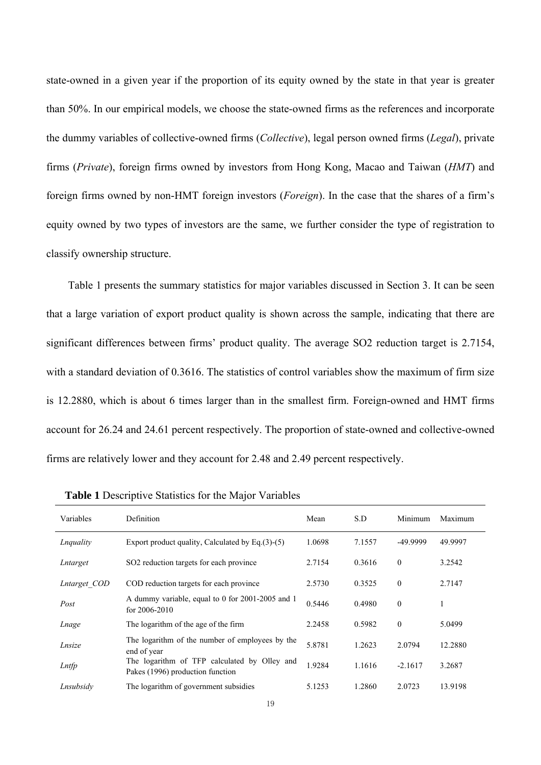state-owned in a given year if the proportion of its equity owned by the state in that year is greater than 50%. In our empirical models, we choose the state-owned firms as the references and incorporate the dummy variables of collective-owned firms (*Collective*), legal person owned firms (*Legal*), private firms (*Private*), foreign firms owned by investors from Hong Kong, Macao and Taiwan (*HMT*) and foreign firms owned by non-HMT foreign investors (*Foreign*). In the case that the shares of a firm's equity owned by two types of investors are the same, we further consider the type of registration to classify ownership structure.

Table 1 presents the summary statistics for major variables discussed in Section 3. It can be seen that a large variation of export product quality is shown across the sample, indicating that there are significant differences between firms' product quality. The average SO2 reduction target is 2.7154, with a standard deviation of 0.3616. The statistics of control variables show the maximum of firm size is 12.2880, which is about 6 times larger than in the smallest firm. Foreign-owned and HMT firms account for 26.24 and 24.61 percent respectively. The proportion of state-owned and collective-owned firms are relatively lower and they account for 2.48 and 2.49 percent respectively.

| Variables    | <b>Definition</b>                                                                | Mean   | S.D    | Minimum   | Maximum |
|--------------|----------------------------------------------------------------------------------|--------|--------|-----------|---------|
| Lnquality    | Export product quality, Calculated by Eq. $(3)$ - $(5)$                          | 1.0698 | 7.1557 | -49.9999  | 49.9997 |
| Lntarget     | SO <sub>2</sub> reduction targets for each province                              | 2.7154 | 0.3616 | $\theta$  | 3.2542  |
| Lntarget COD | COD reduction targets for each province                                          | 2.5730 | 0.3525 | $\theta$  | 2.7147  |
| Post         | A dummy variable, equal to 0 for 2001-2005 and 1<br>for $2006 - 2010$            | 0.5446 | 0.4980 | $\theta$  | 1       |
| Lnage        | The logarithm of the age of the firm                                             | 2.2458 | 0.5982 | $\theta$  | 5.0499  |
| Lnsize       | The logarithm of the number of employees by the<br>end of year                   | 5.8781 | 1.2623 | 2.0794    | 12.2880 |
| Lntfp        | The logarithm of TFP calculated by Olley and<br>Pakes (1996) production function | 1.9284 | 1.1616 | $-2.1617$ | 3.2687  |
| Lnsubsidy    | The logarithm of government subsidies                                            | 5.1253 | 1.2860 | 2.0723    | 13.9198 |

**Table 1** Descriptive Statistics for the Major Variables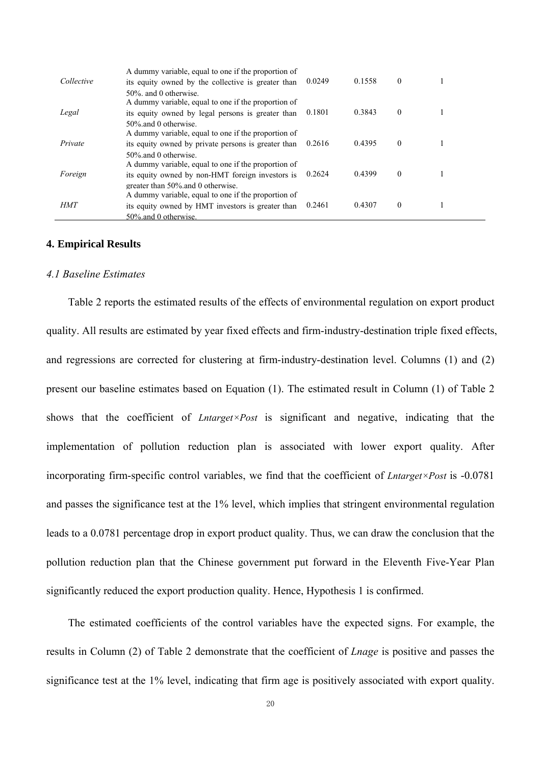| Collective | A dummy variable, equal to one if the proportion of<br>its equity owned by the collective is greater than                                               | 0.0249 | 0.1558 | $\Omega$ |  |
|------------|---------------------------------------------------------------------------------------------------------------------------------------------------------|--------|--------|----------|--|
| Legal      | 50% and 0 otherwise.<br>A dummy variable, equal to one if the proportion of<br>its equity owned by legal persons is greater than<br>50% and 0 otherwise | 0.1801 | 0.3843 | $\Omega$ |  |
| Private    | A dummy variable, equal to one if the proportion of<br>its equity owned by private persons is greater than<br>50% and 0 otherwise.                      | 0.2616 | 0.4395 | $\theta$ |  |
| Foreign    | A dummy variable, equal to one if the proportion of<br>its equity owned by non-HMT foreign investors is<br>greater than 50% and 0 otherwise.            | 0.2624 | 0.4399 | $\theta$ |  |
| HMT        | A dummy variable, equal to one if the proportion of<br>its equity owned by HMT investors is greater than<br>50% and 0 otherwise.                        | 0.2461 | 0.4307 | $\theta$ |  |

#### **4. Empirical Results**

#### *4.1 Baseline Estimates*

Table 2 reports the estimated results of the effects of environmental regulation on export product quality. All results are estimated by year fixed effects and firm-industry-destination triple fixed effects, and regressions are corrected for clustering at firm-industry-destination level. Columns (1) and (2) present our baseline estimates based on Equation (1). The estimated result in Column (1) of Table 2 shows that the coefficient of *Lntarget×Post* is significant and negative, indicating that the implementation of pollution reduction plan is associated with lower export quality. After incorporating firm-specific control variables, we find that the coefficient of *Lntarget×Post* is -0.0781 and passes the significance test at the 1% level, which implies that stringent environmental regulation leads to a 0.0781 percentage drop in export product quality. Thus, we can draw the conclusion that the pollution reduction plan that the Chinese government put forward in the Eleventh Five-Year Plan significantly reduced the export production quality. Hence, Hypothesis 1 is confirmed.

The estimated coefficients of the control variables have the expected signs. For example, the results in Column (2) of Table 2 demonstrate that the coefficient of *Lnage* is positive and passes the significance test at the 1% level, indicating that firm age is positively associated with export quality.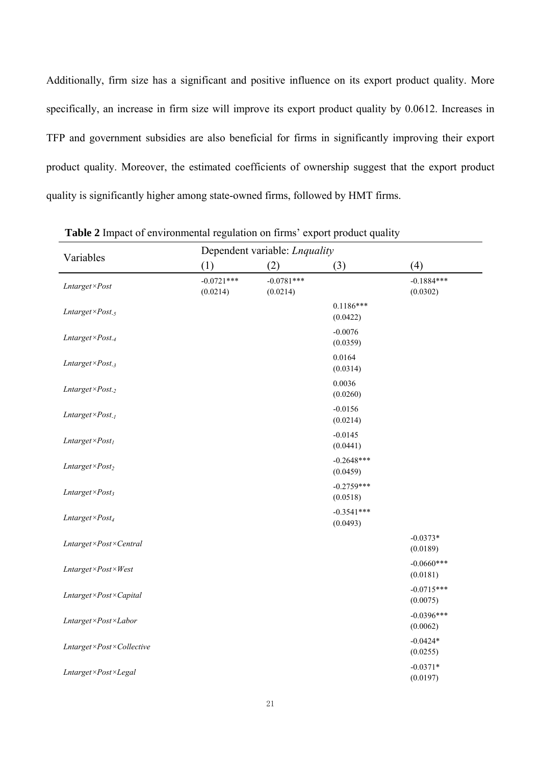Additionally, firm size has a significant and positive influence on its export product quality. More specifically, an increase in firm size will improve its export product quality by 0.0612. Increases in TFP and government subsidies are also beneficial for firms in significantly improving their export product quality. Moreover, the estimated coefficients of ownership suggest that the export product quality is significantly higher among state-owned firms, followed by HMT firms.

|                             | Dependent variable: <i>Lnquality</i> |                          |                          |                          |  |  |  |  |  |
|-----------------------------|--------------------------------------|--------------------------|--------------------------|--------------------------|--|--|--|--|--|
| Variables                   | (1)                                  | (2)                      | (3)                      | (4)                      |  |  |  |  |  |
| Lntarget×Post               | $-0.0721***$<br>(0.0214)             | $-0.0781***$<br>(0.0214) |                          | $-0.1884***$<br>(0.0302) |  |  |  |  |  |
| Lntarget×Post <sub>-5</sub> |                                      |                          | $0.1186***$<br>(0.0422)  |                          |  |  |  |  |  |
| Lntarget×Post <sub>-4</sub> |                                      |                          | $-0.0076$<br>(0.0359)    |                          |  |  |  |  |  |
| Lntarget×Post <sub>-3</sub> |                                      |                          | 0.0164<br>(0.0314)       |                          |  |  |  |  |  |
| Lntarget×Post <sub>-2</sub> |                                      |                          | 0.0036<br>(0.0260)       |                          |  |  |  |  |  |
| Lntarget×Post <sub>-1</sub> |                                      |                          | $-0.0156$<br>(0.0214)    |                          |  |  |  |  |  |
| $Lntarget \times Post_I$    |                                      |                          | $-0.0145$<br>(0.0441)    |                          |  |  |  |  |  |
| $Lntarget \times Post_2$    |                                      |                          | $-0.2648***$<br>(0.0459) |                          |  |  |  |  |  |
| $Lntarget \times Post_3$    |                                      |                          | $-0.2759***$<br>(0.0518) |                          |  |  |  |  |  |
| $Lntarget \times Post_4$    |                                      |                          | $-0.3541***$<br>(0.0493) |                          |  |  |  |  |  |
| Lntarget×Post×Central       |                                      |                          |                          | $-0.0373*$<br>(0.0189)   |  |  |  |  |  |
| Lntarget×Post×West          |                                      |                          |                          | $-0.0660***$<br>(0.0181) |  |  |  |  |  |
| Lntarget×Post×Capital       |                                      |                          |                          | $-0.0715***$<br>(0.0075) |  |  |  |  |  |
| Lntarget×Post×Labor         |                                      |                          |                          | $-0.0396***$<br>(0.0062) |  |  |  |  |  |
| Lntarget×Post×Collective    |                                      |                          |                          | $-0.0424*$<br>(0.0255)   |  |  |  |  |  |
| Lntarget×Post×Legal         |                                      |                          |                          | $-0.0371*$<br>(0.0197)   |  |  |  |  |  |

**Table 2** Impact of environmental regulation on firms' export product quality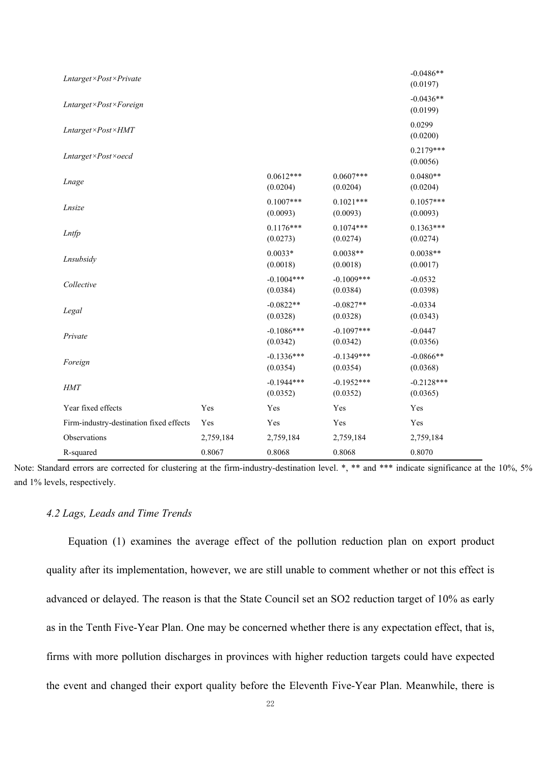| Lntarget×Post×Private                   |           |                          |                          | $-0.0486**$<br>(0.0197)  |
|-----------------------------------------|-----------|--------------------------|--------------------------|--------------------------|
| Lntarget×Post×Foreign                   |           |                          |                          | $-0.0436**$<br>(0.0199)  |
| $Lntarget \times Post \times HMT$       |           |                          |                          | 0.0299<br>(0.0200)       |
| Lntarget×Post×oecd                      |           |                          |                          | $0.2179***$<br>(0.0056)  |
| Lnage                                   |           | $0.0612***$<br>(0.0204)  | $0.0607***$<br>(0.0204)  | $0.0480**$<br>(0.0204)   |
| Lnsize                                  |           | $0.1007***$<br>(0.0093)  | $0.1021***$<br>(0.0093)  | $0.1057***$<br>(0.0093)  |
| Lntfp                                   |           | $0.1176***$<br>(0.0273)  | $0.1074***$<br>(0.0274)  | $0.1363***$<br>(0.0274)  |
| Lnsubsidy                               |           | $0.0033*$<br>(0.0018)    | $0.0038**$<br>(0.0018)   | $0.0038**$<br>(0.0017)   |
| Collective                              |           | $-0.1004***$<br>(0.0384) | $-0.1009***$<br>(0.0384) | $-0.0532$<br>(0.0398)    |
| Legal                                   |           | $-0.0822**$<br>(0.0328)  | $-0.0827**$<br>(0.0328)  | $-0.0334$<br>(0.0343)    |
| Private                                 |           | $-0.1086***$<br>(0.0342) | $-0.1097***$<br>(0.0342) | $-0.0447$<br>(0.0356)    |
| Foreign                                 |           | $-0.1336***$<br>(0.0354) | $-0.1349***$<br>(0.0354) | $-0.0866**$<br>(0.0368)  |
| HMT                                     |           | $-0.1944***$<br>(0.0352) | $-0.1952***$<br>(0.0352) | $-0.2128***$<br>(0.0365) |
| Year fixed effects                      | Yes       | Yes                      | Yes                      | Yes                      |
| Firm-industry-destination fixed effects | Yes       | Yes                      | Yes                      | Yes                      |
| Observations                            | 2,759,184 | 2,759,184                | 2,759,184                | 2,759,184                |
| R-squared                               | 0.8067    | 0.8068                   | 0.8068                   | 0.8070                   |

Note: Standard errors are corrected for clustering at the firm-industry-destination level. \*, \*\* and \*\*\* indicate significance at the 10%, 5% and 1% levels, respectively.

## *4.2 Lags, Leads and Time Trends*

Equation (1) examines the average effect of the pollution reduction plan on export product quality after its implementation, however, we are still unable to comment whether or not this effect is advanced or delayed. The reason is that the State Council set an SO2 reduction target of 10% as early as in the Tenth Five-Year Plan. One may be concerned whether there is any expectation effect, that is, firms with more pollution discharges in provinces with higher reduction targets could have expected the event and changed their export quality before the Eleventh Five-Year Plan. Meanwhile, there is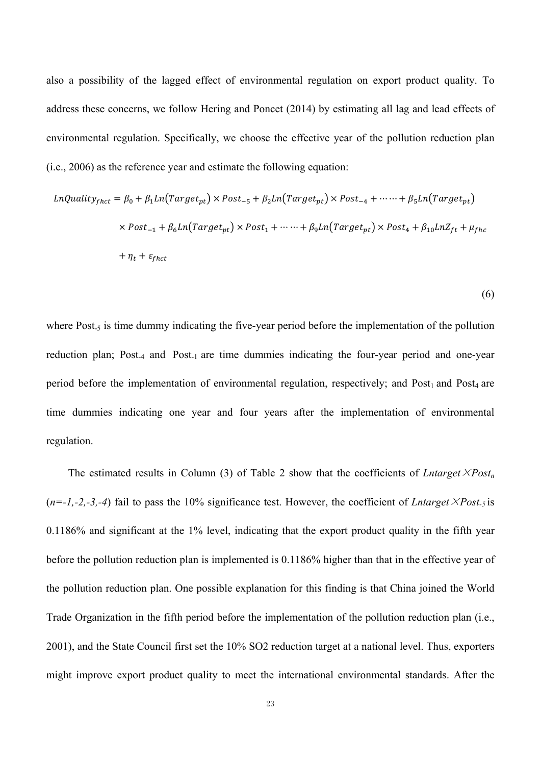also a possibility of the lagged effect of environmental regulation on export product quality. To address these concerns, we follow Hering and Poncet (2014) by estimating all lag and lead effects of environmental regulation. Specifically, we choose the effective year of the pollution reduction plan (i.e., 2006) as the reference year and estimate the following equation:

$$
LnQuality_{f hct} = \beta_0 + \beta_1 Ln(Target_{pt}) \times Post_{-5} + \beta_2 Ln(Target_{pt}) \times Post_{-4} + \cdots + \beta_5 Ln(Target_{pt})
$$
  

$$
\times Post_{-1} + \beta_6 Ln(Target_{pt}) \times Post_1 + \cdots + \beta_9 Ln(Target_{pt}) \times Post_4 + \beta_{10} LnZ_{ft} + \mu_{f h c}
$$
  

$$
+ \eta_t + \varepsilon_{f hct}
$$

(6)

where Post<sub>-5</sub> is time dummy indicating the five-year period before the implementation of the pollution reduction plan; Post-4 and Post-1 are time dummies indicating the four-year period and one-year period before the implementation of environmental regulation, respectively; and Post<sub>1</sub> and Post<sub>4</sub> are time dummies indicating one year and four years after the implementation of environmental regulation.

The estimated results in Column (3) of Table 2 show that the coefficients of *Lntarget* $\times Post_n$  $(n=-1,-2,-3,-4)$  fail to pass the 10% significance test. However, the coefficient of *Lntarget*  $\times$ *Post<sub>-5</sub>* is 0.1186% and significant at the 1% level, indicating that the export product quality in the fifth year before the pollution reduction plan is implemented is 0.1186% higher than that in the effective year of the pollution reduction plan. One possible explanation for this finding is that China joined the World Trade Organization in the fifth period before the implementation of the pollution reduction plan (i.e., 2001), and the State Council first set the 10% SO2 reduction target at a national level. Thus, exporters might improve export product quality to meet the international environmental standards. After the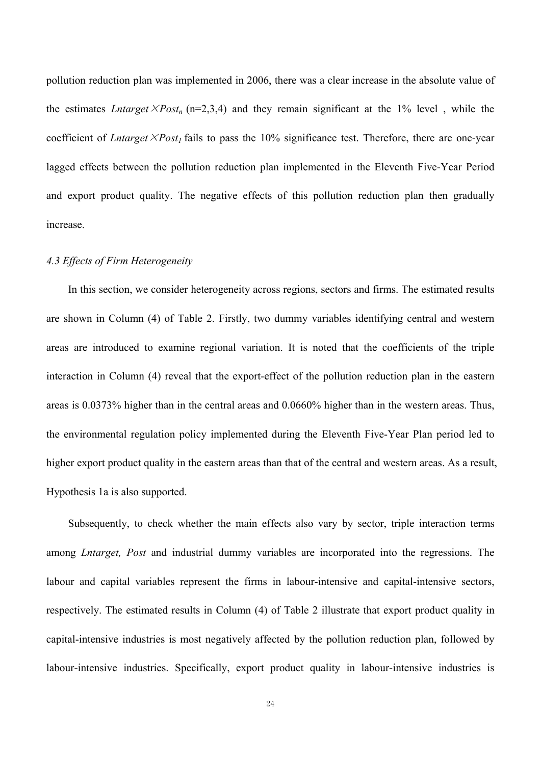pollution reduction plan was implemented in 2006, there was a clear increase in the absolute value of the estimates *Lntarget*  $\times Post_n$  (n=2,3,4) and they remain significant at the 1% level, while the coefficient of *Lntarget*  $\times$ *Post<sub>1</sub>* fails to pass the 10% significance test. Therefore, there are one-year lagged effects between the pollution reduction plan implemented in the Eleventh Five-Year Period and export product quality. The negative effects of this pollution reduction plan then gradually increase.

## *4.3 Effects of Firm Heterogeneity*

In this section, we consider heterogeneity across regions, sectors and firms. The estimated results are shown in Column (4) of Table 2. Firstly, two dummy variables identifying central and western areas are introduced to examine regional variation. It is noted that the coefficients of the triple interaction in Column (4) reveal that the export-effect of the pollution reduction plan in the eastern areas is 0.0373% higher than in the central areas and 0.0660% higher than in the western areas. Thus, the environmental regulation policy implemented during the Eleventh Five-Year Plan period led to higher export product quality in the eastern areas than that of the central and western areas. As a result, Hypothesis 1a is also supported.

Subsequently, to check whether the main effects also vary by sector, triple interaction terms among *Lntarget, Post* and industrial dummy variables are incorporated into the regressions. The labour and capital variables represent the firms in labour-intensive and capital-intensive sectors, respectively. The estimated results in Column (4) of Table 2 illustrate that export product quality in capital-intensive industries is most negatively affected by the pollution reduction plan, followed by labour-intensive industries. Specifically, export product quality in labour-intensive industries is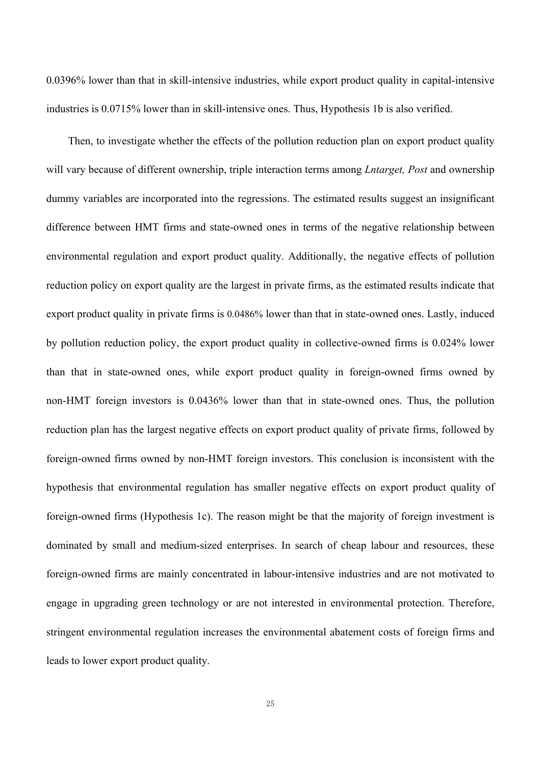0.0396% lower than that in skill-intensive industries, while export product quality in capital-intensive industries is 0.0715% lower than in skill-intensive ones. Thus, Hypothesis 1b is also verified.

Then, to investigate whether the effects of the pollution reduction plan on export product quality will vary because of different ownership, triple interaction terms among *Lntarget, Post* and ownership dummy variables are incorporated into the regressions. The estimated results suggest an insignificant difference between HMT firms and state-owned ones in terms of the negative relationship between environmental regulation and export product quality. Additionally, the negative effects of pollution reduction policy on export quality are the largest in private firms, as the estimated results indicate that export product quality in private firms is 0.0486% lower than that in state-owned ones. Lastly, induced by pollution reduction policy, the export product quality in collective-owned firms is 0.024% lower than that in state-owned ones, while export product quality in foreign-owned firms owned by non-HMT foreign investors is 0.0436% lower than that in state-owned ones. Thus, the pollution reduction plan has the largest negative effects on export product quality of private firms, followed by foreign-owned firms owned by non-HMT foreign investors. This conclusion is inconsistent with the hypothesis that environmental regulation has smaller negative effects on export product quality of foreign-owned firms (Hypothesis 1c). The reason might be that the majority of foreign investment is dominated by small and medium-sized enterprises. In search of cheap labour and resources, these foreign-owned firms are mainly concentrated in labour-intensive industries and are not motivated to engage in upgrading green technology or are not interested in environmental protection. Therefore, stringent environmental regulation increases the environmental abatement costs of foreign firms and leads to lower export product quality.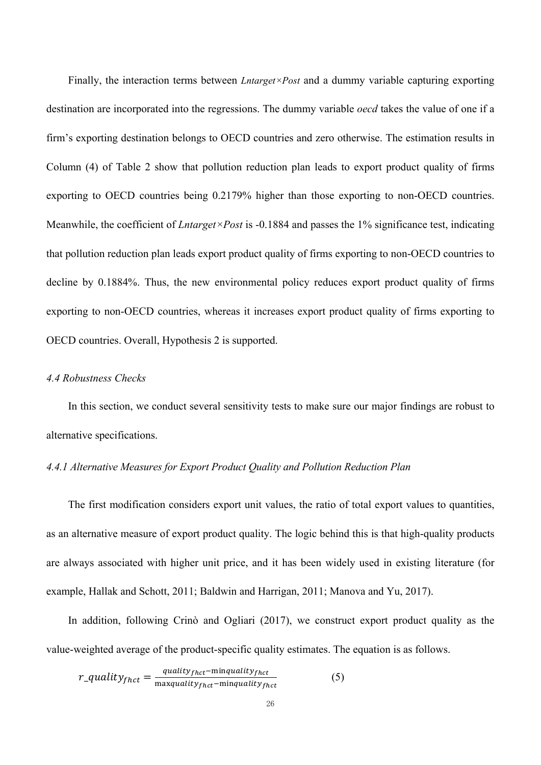Finally, the interaction terms between *Lntarget×Post* and a dummy variable capturing exporting destination are incorporated into the regressions. The dummy variable *oecd* takes the value of one if a firm's exporting destination belongs to OECD countries and zero otherwise. The estimation results in Column (4) of Table 2 show that pollution reduction plan leads to export product quality of firms exporting to OECD countries being 0.2179% higher than those exporting to non-OECD countries. Meanwhile, the coefficient of *Lntarget×Post* is -0.1884 and passes the 1% significance test, indicating that pollution reduction plan leads export product quality of firms exporting to non-OECD countries to decline by 0.1884%. Thus, the new environmental policy reduces export product quality of firms exporting to non-OECD countries, whereas it increases export product quality of firms exporting to OECD countries. Overall, Hypothesis 2 is supported.

### *4.4 Robustness Checks*

In this section, we conduct several sensitivity tests to make sure our major findings are robust to alternative specifications.

## *4.4.1 Alternative Measures for Export Product Quality and Pollution Reduction Plan*

The first modification considers export unit values, the ratio of total export values to quantities, as an alternative measure of export product quality. The logic behind this is that high-quality products are always associated with higher unit price, and it has been widely used in existing literature (for example, Hallak and Schott, 2011; Baldwin and Harrigan, 2011; Manova and Yu, 2017).

In addition, following Crinò and Ogliari (2017), we construct export product quality as the value-weighted average of the product-specific quality estimates. The equation is as follows.

$$
r_{\text{.}quality}_{f h c t} = \frac{quality_{f h c t} - \text{min} quality_{f h c t}}{\text{max} quality_{f h c t} - \text{min} quality_{f h c t}} \tag{5}
$$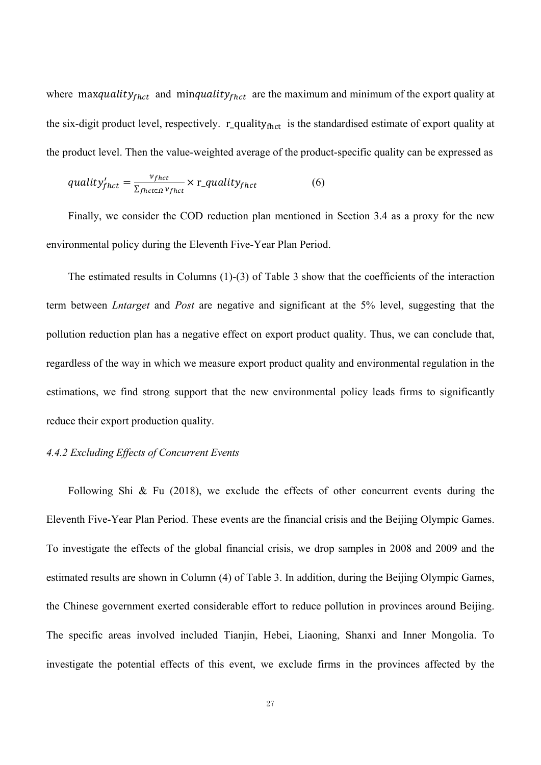where maxquality $_{fhot}$  and minquality $_{fhot}$  are the maximum and minimum of the export quality at the six-digit product level, respectively.  $r_{\text{quality}}_{\text{fhot}}$  is the standardised estimate of export quality at the product level. Then the value-weighted average of the product-specific quality can be expressed as

$$
quality'_{thct} = \frac{v_{thct}}{\Sigma_{fhct \in \Omega} v_{fhct}} \times r\_quality_{fhct}
$$
 (6)

Finally, we consider the COD reduction plan mentioned in Section 3.4 as a proxy for the new environmental policy during the Eleventh Five-Year Plan Period.

The estimated results in Columns (1)-(3) of Table 3 show that the coefficients of the interaction term between *Lntarget* and *Post* are negative and significant at the 5% level, suggesting that the pollution reduction plan has a negative effect on export product quality. Thus, we can conclude that, regardless of the way in which we measure export product quality and environmental regulation in the estimations, we find strong support that the new environmental policy leads firms to significantly reduce their export production quality.

## *4.4.2 Excluding Effects of Concurrent Events*

Following Shi & Fu (2018), we exclude the effects of other concurrent events during the Eleventh Five-Year Plan Period. These events are the financial crisis and the Beijing Olympic Games. To investigate the effects of the global financial crisis, we drop samples in 2008 and 2009 and the estimated results are shown in Column (4) of Table 3. In addition, during the Beijing Olympic Games, the Chinese government exerted considerable effort to reduce pollution in provinces around Beijing. The specific areas involved included Tianjin, Hebei, Liaoning, Shanxi and Inner Mongolia. To investigate the potential effects of this event, we exclude firms in the provinces affected by the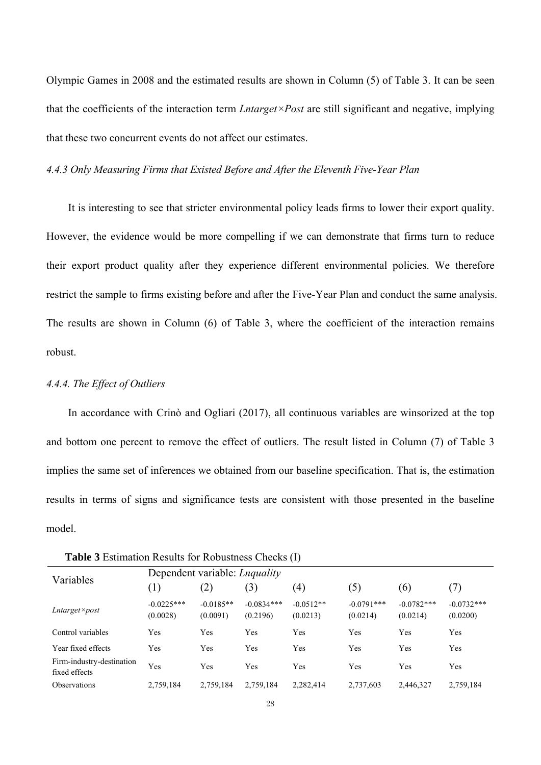Olympic Games in 2008 and the estimated results are shown in Column (5) of Table 3. It can be seen that the coefficients of the interaction term *Lntarget×Post* are still significant and negative, implying that these two concurrent events do not affect our estimates.

## *4.4.3 Only Measuring Firms that Existed Before and After the Eleventh Five-Year Plan*

It is interesting to see that stricter environmental policy leads firms to lower their export quality. However, the evidence would be more compelling if we can demonstrate that firms turn to reduce their export product quality after they experience different environmental policies. We therefore restrict the sample to firms existing before and after the Five-Year Plan and conduct the same analysis. The results are shown in Column (6) of Table 3, where the coefficient of the interaction remains robust.

## *4.4.4. The Effect of Outliers*

In accordance with Crinò and Ogliari (2017), all continuous variables are winsorized at the top and bottom one percent to remove the effect of outliers. The result listed in Column (7) of Table 3 implies the same set of inferences we obtained from our baseline specification. That is, the estimation results in terms of signs and significance tests are consistent with those presented in the baseline model.

| Variables                                  | Dependent variable: <i>Lnquality</i> |                         |                          |                         |                          |                          |                          |  |  |
|--------------------------------------------|--------------------------------------|-------------------------|--------------------------|-------------------------|--------------------------|--------------------------|--------------------------|--|--|
|                                            | (1)                                  | (2)                     | (3)                      | $\left( 4\right)$       | (5)                      | (6)                      | (7)                      |  |  |
| $Lntarget \times post$                     | $-0.0225***$<br>(0.0028)             | $-0.0185**$<br>(0.0091) | $-0.0834***$<br>(0.2196) | $-0.0512**$<br>(0.0213) | $-0.0791***$<br>(0.0214) | $-0.0782***$<br>(0.0214) | $-0.0732***$<br>(0.0200) |  |  |
| Control variables                          | Yes                                  | Yes                     | Yes                      | Yes                     | Yes                      | Yes                      | Yes                      |  |  |
| Year fixed effects                         | Yes                                  | Yes                     | Yes                      | Yes                     | Yes                      | Yes                      | Yes                      |  |  |
| Firm-industry-destination<br>fixed effects | Yes                                  | Yes                     | Yes                      | Yes                     | Yes                      | Yes                      | Yes                      |  |  |
| <b>Observations</b>                        | 2,759,184                            | 2,759,184               | 2,759,184                | 2,282,414               | 2,737,603                | 2,446,327                | 2,759,184                |  |  |

**Table 3** Estimation Results for Robustness Checks (I)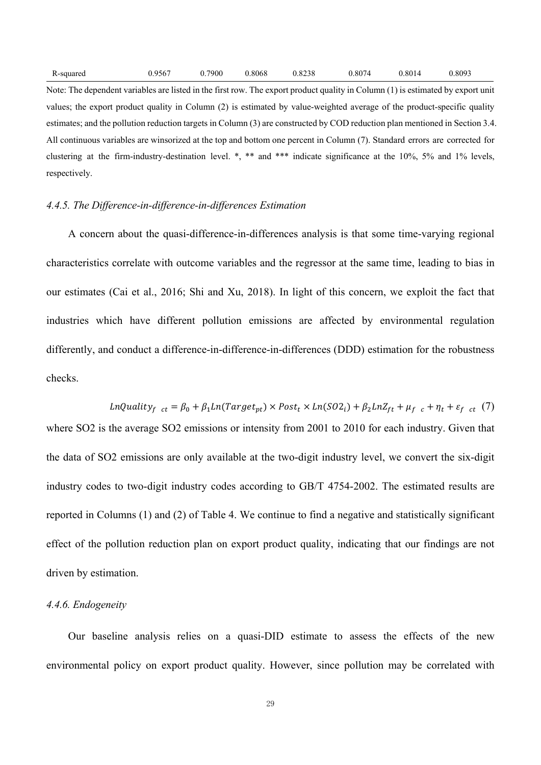| R-squared | 0.9567 | 0.7900 | 0.8068 | 0.8238 | 0.8074 | 0.8014 | 0.8093 |
|-----------|--------|--------|--------|--------|--------|--------|--------|
|-----------|--------|--------|--------|--------|--------|--------|--------|

Note: The dependent variables are listed in the first row. The export product quality in Column (1) is estimated by export unit values; the export product quality in Column (2) is estimated by value-weighted average of the product-specific quality estimates; and the pollution reduction targets in Column (3) are constructed by COD reduction plan mentioned in Section 3.4. All continuous variables are winsorized at the top and bottom one percent in Column (7). Standard errors are corrected for clustering at the firm-industry-destination level. \*, \*\* and \*\*\* indicate significance at the 10%, 5% and 1% levels, respectively.

### *4.4.5. The Difference-in-difference-in-differences Estimation*

A concern about the quasi-difference-in-differences analysis is that some time-varying regional characteristics correlate with outcome variables and the regressor at the same time, leading to bias in our estimates (Cai et al., 2016; Shi and Xu, 2018). In light of this concern, we exploit the fact that industries which have different pollution emissions are affected by environmental regulation differently, and conduct a difference-in-difference-in-differences (DDD) estimation for the robustness checks.

 $\label{eq:1} \textit{LnQuality}_{f \ ct} = \beta_0 + \beta_1 \textit{Ln}(\textit{Target}_{pt}) \times \textit{Post}_{t} \times \textit{Ln}(\textit{SO2}_{i}) + \beta_2 \textit{LnZ}_{ft} + \mu_{f \ c} + \eta_{t} + \varepsilon_{f \ ct} \ (7)$ where SO2 is the average SO2 emissions or intensity from 2001 to 2010 for each industry. Given that the data of SO2 emissions are only available at the two-digit industry level, we convert the six-digit industry codes to two-digit industry codes according to GB/T 4754-2002. The estimated results are reported in Columns (1) and (2) of Table 4. We continue to find a negative and statistically significant effect of the pollution reduction plan on export product quality, indicating that our findings are not driven by estimation.

### *4.4.6. Endogeneity*

Our baseline analysis relies on a quasi-DID estimate to assess the effects of the new environmental policy on export product quality. However, since pollution may be correlated with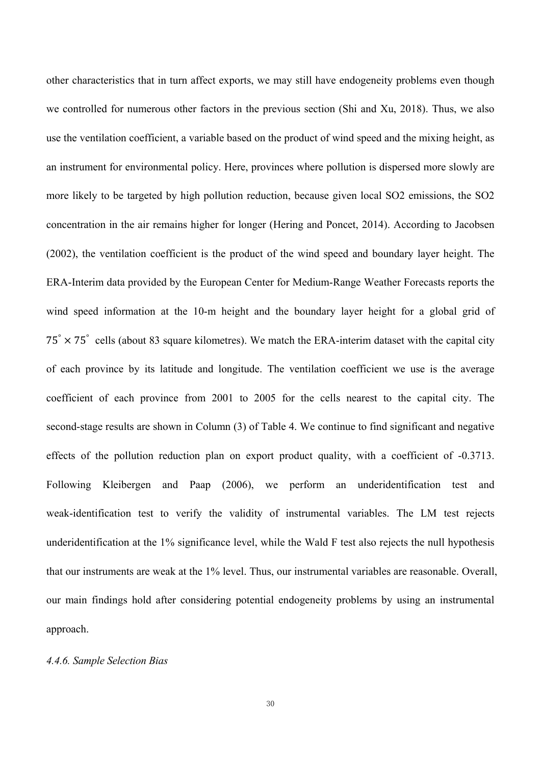other characteristics that in turn affect exports, we may still have endogeneity problems even though we controlled for numerous other factors in the previous section (Shi and Xu, 2018). Thus, we also use the ventilation coefficient, a variable based on the product of wind speed and the mixing height, as an instrument for environmental policy. Here, provinces where pollution is dispersed more slowly are more likely to be targeted by high pollution reduction, because given local SO2 emissions, the SO2 concentration in the air remains higher for longer (Hering and Poncet, 2014). According to Jacobsen (2002), the ventilation coefficient is the product of the wind speed and boundary layer height. The ERA-Interim data provided by the European Center for Medium-Range Weather Forecasts reports the wind speed information at the 10-m height and the boundary layer height for a global grid of  $75^\circ \times 75^\circ$  cells (about 83 square kilometres). We match the ERA-interim dataset with the capital city of each province by its latitude and longitude. The ventilation coefficient we use is the average coefficient of each province from 2001 to 2005 for the cells nearest to the capital city. The second-stage results are shown in Column (3) of Table 4. We continue to find significant and negative effects of the pollution reduction plan on export product quality, with a coefficient of -0.3713. Following Kleibergen and Paap (2006), we perform an underidentification test and weak-identification test to verify the validity of instrumental variables. The LM test rejects underidentification at the 1% significance level, while the Wald F test also rejects the null hypothesis that our instruments are weak at the 1% level. Thus, our instrumental variables are reasonable. Overall, our main findings hold after considering potential endogeneity problems by using an instrumental approach.

## *4.4.6. Sample Selection Bias*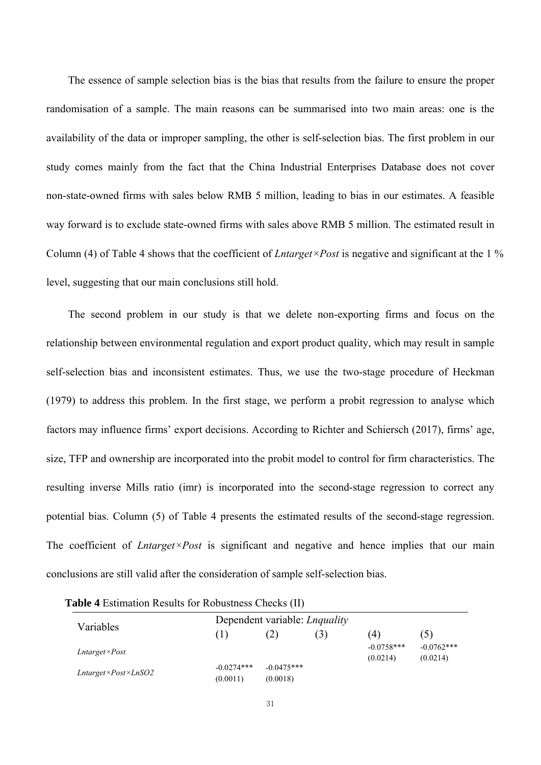The essence of sample selection bias is the bias that results from the failure to ensure the proper randomisation of a sample. The main reasons can be summarised into two main areas: one is the availability of the data or improper sampling, the other is self-selection bias. The first problem in our study comes mainly from the fact that the China Industrial Enterprises Database does not cover non-state-owned firms with sales below RMB 5 million, leading to bias in our estimates. A feasible way forward is to exclude state-owned firms with sales above RMB 5 million. The estimated result in Column (4) of Table 4 shows that the coefficient of *Lntarget×Post* is negative and significant at the 1 % level, suggesting that our main conclusions still hold.

The second problem in our study is that we delete non-exporting firms and focus on the relationship between environmental regulation and export product quality, which may result in sample self-selection bias and inconsistent estimates. Thus, we use the two-stage procedure of Heckman (1979) to address this problem. In the first stage, we perform a probit regression to analyse which factors may influence firms' export decisions. According to Richter and Schiersch (2017), firms' age, size, TFP and ownership are incorporated into the probit model to control for firm characteristics. The resulting inverse Mills ratio (imr) is incorporated into the second-stage regression to correct any potential bias. Column (5) of Table 4 presents the estimated results of the second-stage regression. The coefficient of *Lntarget×Post* is significant and negative and hence implies that our main conclusions are still valid after the consideration of sample self-selection bias.

| Variables                           | Dependent variable: <i>Lnquality</i> |                          |     |                          |                          |
|-------------------------------------|--------------------------------------|--------------------------|-----|--------------------------|--------------------------|
|                                     | (1)                                  | (2)                      | (3) | 4)                       | (5)                      |
| $Lntarget \times Post$              |                                      |                          |     | $-0.0758***$<br>(0.0214) | $-0.0762***$<br>(0.0214) |
| $Lntarget \times Post \times LnSO2$ | $-0.0274***$<br>(0.0011)             | $-0.0475***$<br>(0.0018) |     |                          |                          |

**Table 4** Estimation Results for Robustness Checks (II)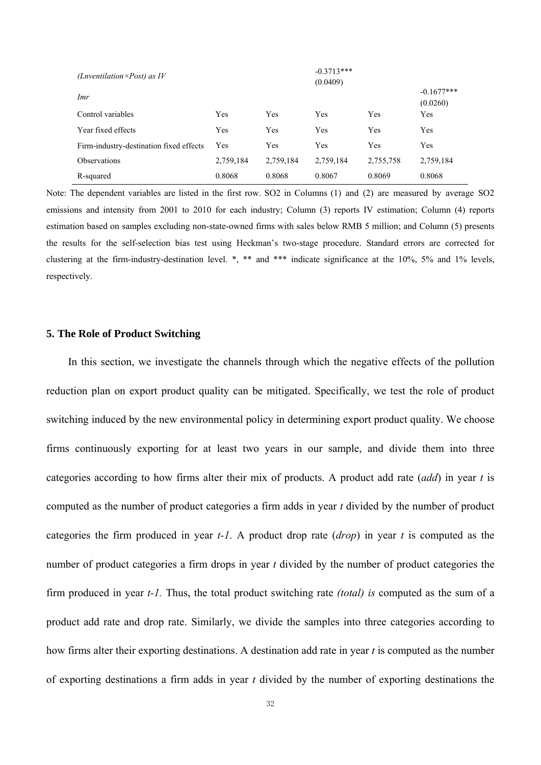| ( <i>Lnventilation</i> $\times$ <i>Post</i> ) as <i>IV</i> |           | $-0.3713***$ |           |           |              |  |
|------------------------------------------------------------|-----------|--------------|-----------|-----------|--------------|--|
|                                                            |           | (0.0409)     |           |           |              |  |
| Imr                                                        |           |              |           |           | $-0.1677***$ |  |
|                                                            |           |              |           |           | (0.0260)     |  |
| Control variables                                          | Yes       | Yes          | Yes       | Yes       | Yes          |  |
| Year fixed effects                                         | Yes       | Yes          | Yes       | Yes       | Yes          |  |
| Firm-industry-destination fixed effects                    | Yes       | Yes          | Yes       | Yes       | Yes          |  |
| <b>Observations</b>                                        | 2,759,184 | 2,759,184    | 2,759,184 | 2,755,758 | 2,759,184    |  |
| R-squared                                                  | 0.8068    | 0.8068       | 0.8067    | 0.8069    | 0.8068       |  |

Note: The dependent variables are listed in the first row. SO2 in Columns (1) and (2) are measured by average SO2 emissions and intensity from 2001 to 2010 for each industry; Column (3) reports IV estimation; Column (4) reports estimation based on samples excluding non-state-owned firms with sales below RMB 5 million; and Column (5) presents the results for the self-selection bias test using Heckman's two-stage procedure. Standard errors are corrected for clustering at the firm-industry-destination level. \*, \*\* and \*\*\* indicate significance at the 10%, 5% and 1% levels, respectively.

## **5. The Role of Product Switching**

In this section, we investigate the channels through which the negative effects of the pollution reduction plan on export product quality can be mitigated. Specifically, we test the role of product switching induced by the new environmental policy in determining export product quality. We choose firms continuously exporting for at least two years in our sample, and divide them into three categories according to how firms alter their mix of products. A product add rate (*add*) in year *t* is computed as the number of product categories a firm adds in year *t* divided by the number of product categories the firm produced in year *t-1*. A product drop rate (*drop*) in year *t* is computed as the number of product categories a firm drops in year *t* divided by the number of product categories the firm produced in year *t-1.* Thus, the total product switching rate *(total) is* computed as the sum of a product add rate and drop rate. Similarly, we divide the samples into three categories according to how firms alter their exporting destinations. A destination add rate in year *t* is computed as the number of exporting destinations a firm adds in year *t* divided by the number of exporting destinations the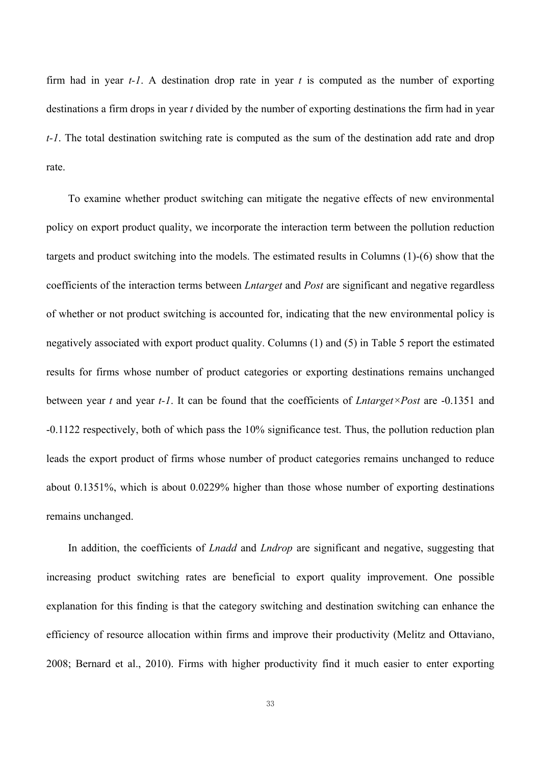firm had in year *t-1*. A destination drop rate in year *t* is computed as the number of exporting destinations a firm drops in year *t* divided by the number of exporting destinations the firm had in year *t-1*. The total destination switching rate is computed as the sum of the destination add rate and drop rate.

To examine whether product switching can mitigate the negative effects of new environmental policy on export product quality, we incorporate the interaction term between the pollution reduction targets and product switching into the models. The estimated results in Columns (1)-(6) show that the coefficients of the interaction terms between *Lntarget* and *Post* are significant and negative regardless of whether or not product switching is accounted for, indicating that the new environmental policy is negatively associated with export product quality. Columns (1) and (5) in Table 5 report the estimated results for firms whose number of product categories or exporting destinations remains unchanged between year *t* and year *t-1*. It can be found that the coefficients of *Lntarget×Post* are -0.1351 and -0.1122 respectively, both of which pass the 10% significance test. Thus, the pollution reduction plan leads the export product of firms whose number of product categories remains unchanged to reduce about 0.1351%, which is about 0.0229% higher than those whose number of exporting destinations remains unchanged.

In addition, the coefficients of *Lnadd* and *Lndrop* are significant and negative, suggesting that increasing product switching rates are beneficial to export quality improvement. One possible explanation for this finding is that the category switching and destination switching can enhance the efficiency of resource allocation within firms and improve their productivity (Melitz and Ottaviano, 2008; Bernard et al., 2010). Firms with higher productivity find it much easier to enter exporting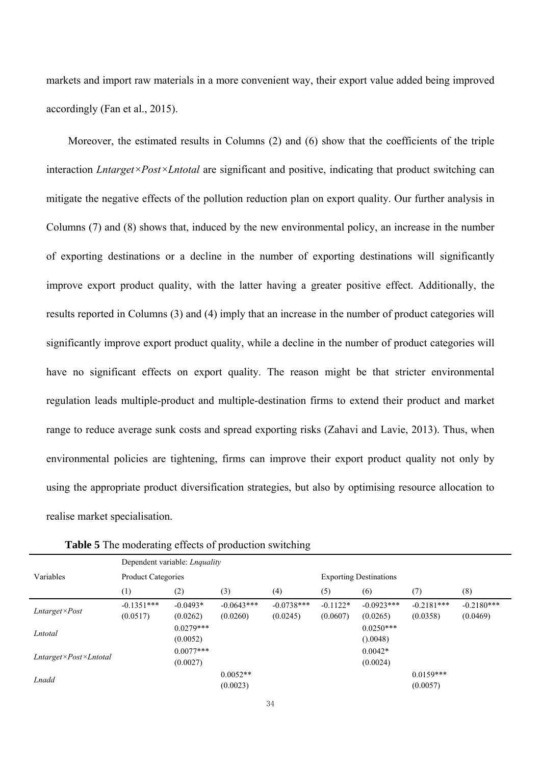markets and import raw materials in a more convenient way, their export value added being improved accordingly (Fan et al., 2015).

Moreover, the estimated results in Columns (2) and (6) show that the coefficients of the triple interaction *Lntarget×Post×Lntotal* are significant and positive, indicating that product switching can mitigate the negative effects of the pollution reduction plan on export quality. Our further analysis in Columns (7) and (8) shows that, induced by the new environmental policy, an increase in the number of exporting destinations or a decline in the number of exporting destinations will significantly improve export product quality, with the latter having a greater positive effect. Additionally, the results reported in Columns (3) and (4) imply that an increase in the number of product categories will significantly improve export product quality, while a decline in the number of product categories will have no significant effects on export quality. The reason might be that stricter environmental regulation leads multiple-product and multiple-destination firms to extend their product and market range to reduce average sunk costs and spread exporting risks (Zahavi and Lavie, 2013). Thus, when environmental policies are tightening, firms can improve their export product quality not only by using the appropriate product diversification strategies, but also by optimising resource allocation to realise market specialisation.

|                        | Dependent variable: <i>Lnquality</i> |                           |                          |                          |                        |                               |                          |                          |  |  |
|------------------------|--------------------------------------|---------------------------|--------------------------|--------------------------|------------------------|-------------------------------|--------------------------|--------------------------|--|--|
| Variables              |                                      | <b>Product Categories</b> |                          |                          |                        | <b>Exporting Destinations</b> |                          |                          |  |  |
|                        | (1)                                  | (2)                       | (3)                      | (4)                      | (5)                    | (6)                           | (7)                      | (8)                      |  |  |
| $Lntarget \times Post$ | $-0.1351***$<br>(0.0517)             | $-0.0493*$<br>(0.0262)    | $-0.0643***$<br>(0.0260) | $-0.0738***$<br>(0.0245) | $-0.1122*$<br>(0.0607) | $-0.0923***$<br>(0.0265)      | $-0.2181***$<br>(0.0358) | $-0.2180***$<br>(0.0469) |  |  |
| Lntotal                |                                      | $0.0279***$<br>(0.0052)   |                          |                          |                        | $0.0250***$<br>(0.0048)       |                          |                          |  |  |
| Lntarget×Post×Lntotal  |                                      | $0.0077***$<br>(0.0027)   |                          |                          |                        | $0.0042*$<br>(0.0024)         |                          |                          |  |  |
| Lnadd                  |                                      |                           | $0.0052**$<br>(0.0023)   |                          |                        |                               | $0.0159***$<br>(0.0057)  |                          |  |  |

**Table 5** The moderating effects of production switching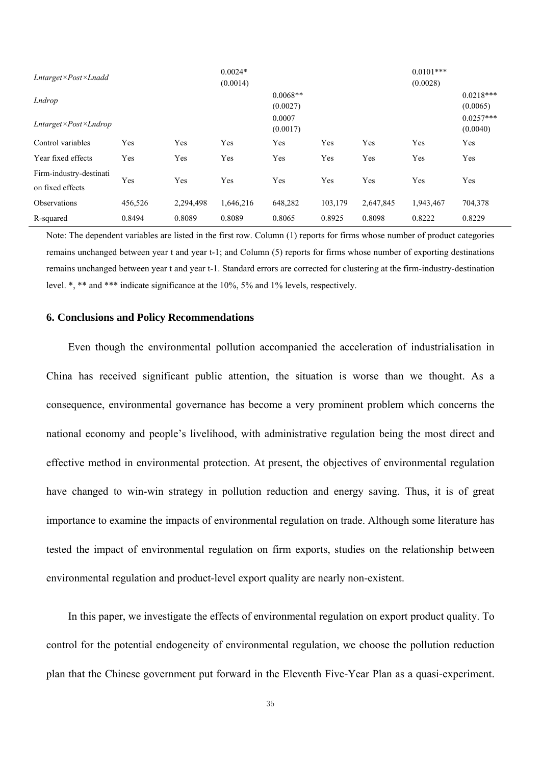| Lntarget×Post×Lnadd                            |         |           | $0.0024*$<br>(0.0014) |                                              |         |           | $0.0101***$<br>(0.0028) |                                                    |
|------------------------------------------------|---------|-----------|-----------------------|----------------------------------------------|---------|-----------|-------------------------|----------------------------------------------------|
| Lndrop<br>$Intarget \times Post \times Lndrop$ |         |           |                       | $0.0068**$<br>(0.0027)<br>0.0007<br>(0.0017) |         |           |                         | $0.0218***$<br>(0.0065)<br>$0.0257***$<br>(0.0040) |
| Control variables                              | Yes     | Yes       | Yes                   | Yes                                          | Yes     | Yes       | Yes                     | Yes                                                |
| Year fixed effects                             | Yes     | Yes       | Yes                   | Yes                                          | Yes     | Yes       | Yes                     | Yes                                                |
| Firm-industry-destinati                        |         |           |                       |                                              |         |           |                         |                                                    |
| on fixed effects                               | Yes     | Yes       | Yes                   | Yes                                          | Yes     | Yes       | Yes                     | Yes                                                |
| <b>Observations</b>                            | 456,526 | 2,294,498 | 1,646,216             | 648,282                                      | 103,179 | 2,647,845 | 1,943,467               | 704,378                                            |
| R-squared                                      | 0.8494  | 0.8089    | 0.8089                | 0.8065                                       | 0.8925  | 0.8098    | 0.8222                  | 0.8229                                             |

Note: The dependent variables are listed in the first row. Column (1) reports for firms whose number of product categories remains unchanged between year t and year t-1; and Column (5) reports for firms whose number of exporting destinations remains unchanged between year t and year t-1. Standard errors are corrected for clustering at the firm-industry-destination level. \*, \*\* and \*\*\* indicate significance at the 10%, 5% and 1% levels, respectively.

### **6. Conclusions and Policy Recommendations**

Even though the environmental pollution accompanied the acceleration of industrialisation in China has received significant public attention, the situation is worse than we thought. As a consequence, environmental governance has become a very prominent problem which concerns the national economy and people's livelihood, with administrative regulation being the most direct and effective method in environmental protection. At present, the objectives of environmental regulation have changed to win-win strategy in pollution reduction and energy saving. Thus, it is of great importance to examine the impacts of environmental regulation on trade. Although some literature has tested the impact of environmental regulation on firm exports, studies on the relationship between environmental regulation and product-level export quality are nearly non-existent.

In this paper, we investigate the effects of environmental regulation on export product quality. To control for the potential endogeneity of environmental regulation, we choose the pollution reduction plan that the Chinese government put forward in the Eleventh Five-Year Plan as a quasi-experiment.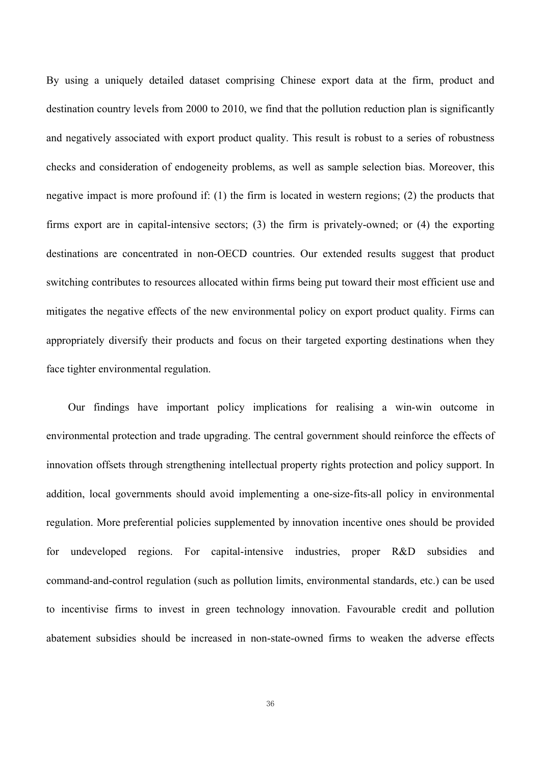By using a uniquely detailed dataset comprising Chinese export data at the firm, product and destination country levels from 2000 to 2010, we find that the pollution reduction plan is significantly and negatively associated with export product quality. This result is robust to a series of robustness checks and consideration of endogeneity problems, as well as sample selection bias. Moreover, this negative impact is more profound if: (1) the firm is located in western regions; (2) the products that firms export are in capital-intensive sectors; (3) the firm is privately-owned; or (4) the exporting destinations are concentrated in non-OECD countries. Our extended results suggest that product switching contributes to resources allocated within firms being put toward their most efficient use and mitigates the negative effects of the new environmental policy on export product quality. Firms can appropriately diversify their products and focus on their targeted exporting destinations when they face tighter environmental regulation.

Our findings have important policy implications for realising a win-win outcome in environmental protection and trade upgrading. The central government should reinforce the effects of innovation offsets through strengthening intellectual property rights protection and policy support. In addition, local governments should avoid implementing a one-size-fits-all policy in environmental regulation. More preferential policies supplemented by innovation incentive ones should be provided for undeveloped regions. For capital-intensive industries, proper R&D subsidies and command-and-control regulation (such as pollution limits, environmental standards, etc.) can be used to incentivise firms to invest in green technology innovation. Favourable credit and pollution abatement subsidies should be increased in non-state-owned firms to weaken the adverse effects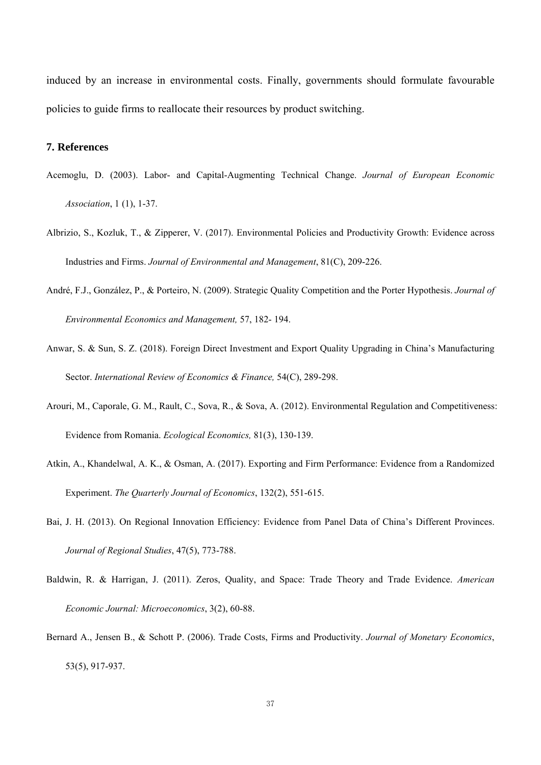induced by an increase in environmental costs. Finally, governments should formulate favourable policies to guide firms to reallocate their resources by product switching.

## **7. References**

- Acemoglu, D. (2003). Labor- and Capital-Augmenting Technical Change. *Journal of European Economic Association*, 1 (1), 1-37.
- Albrizio, S., Kozluk, T., & Zipperer, V. (2017). Environmental Policies and Productivity Growth: Evidence across Industries and Firms. *Journal of Environmental and Management*, 81(C), 209-226.
- André, F.J., González, P., & Porteiro, N. (2009). Strategic Quality Competition and the Porter Hypothesis. *Journal of Environmental Economics and Management,* 57, 182- 194.
- Anwar, S. & Sun, S. Z. (2018). Foreign Direct Investment and Export Quality Upgrading in China's Manufacturing Sector. *International Review of Economics & Finance,* 54(C), 289-298.
- Arouri, M., Caporale, G. M., Rault, C., Sova, R., & Sova, A. (2012). Environmental Regulation and Competitiveness: Evidence from Romania. *Ecological Economics,* 81(3), 130-139.
- Atkin, A., Khandelwal, A. K., & Osman, A. (2017). Exporting and Firm Performance: Evidence from a Randomized Experiment. *The Quarterly Journal of Economics*, 132(2), 551-615.
- Bai, J. H. (2013). On Regional Innovation Efficiency: Evidence from Panel Data of China's Different Provinces. *Journal of Regional Studies*, 47(5), 773-788.
- Baldwin, R. & Harrigan, J. (2011). Zeros, Quality, and Space: Trade Theory and Trade Evidence. *American Economic Journal: Microeconomics*, 3(2), 60-88.
- Bernard A., Jensen B., & Schott P. (2006). Trade Costs, Firms and Productivity. *Journal of Monetary Economics*, 53(5), 917-937.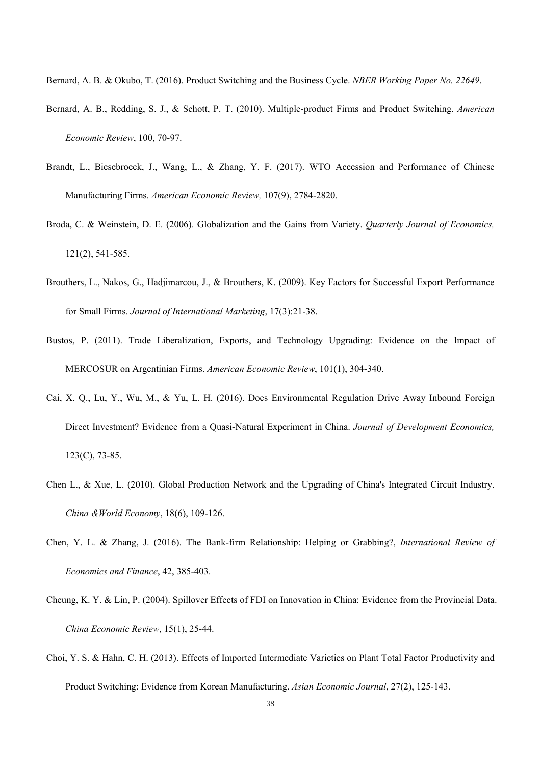Bernard, A. B. & Okubo, T. (2016). Product Switching and the Business Cycle. *NBER Working Paper No. 22649*.

- Bernard, A. B., Redding, S. J., & Schott, P. T. (2010). Multiple-product Firms and Product Switching. *American Economic Review*, 100, 70-97.
- Brandt, L., Biesebroeck, J., Wang, L., & Zhang, Y. F. (2017). WTO Accession and Performance of Chinese Manufacturing Firms. *American Economic Review,* 107(9), 2784-2820.
- Broda, C. & Weinstein, D. E. (2006). Globalization and the Gains from Variety. *Quarterly Journal of Economics,* 121(2), 541-585.
- Brouthers, L., Nakos, G., Hadjimarcou, J., & Brouthers, K. (2009). Key Factors for Successful Export Performance for Small Firms. *Journal of International Marketing*, 17(3):21-38.
- Bustos, P. (2011). Trade Liberalization, Exports, and Technology Upgrading: Evidence on the Impact of MERCOSUR on Argentinian Firms. *American Economic Review*, 101(1), 304-340.
- Cai, X. Q., Lu, Y., Wu, M., & Yu, L. H. (2016). Does Environmental Regulation Drive Away Inbound Foreign Direct Investment? Evidence from a Quasi-Natural Experiment in China. *Journal of Development Economics,* 123(C), 73-85.
- Chen L., & Xue, L. (2010). Global Production Network and the Upgrading of China's Integrated Circuit Industry. *China &World Economy*, 18(6), 109-126.
- Chen, Y. L. & Zhang, J. (2016). The Bank-firm Relationship: Helping or Grabbing?, *International Review of Economics and Finance*, 42, 385-403.
- Cheung, K. Y. & Lin, P. (2004). Spillover Effects of FDI on Innovation in China: Evidence from the Provincial Data. *China Economic Review*, 15(1), 25-44.
- Choi, Y. S. & Hahn, C. H. (2013). Effects of Imported Intermediate Varieties on Plant Total Factor Productivity and Product Switching: Evidence from Korean Manufacturing. *Asian Economic Journal*, 27(2), 125-143.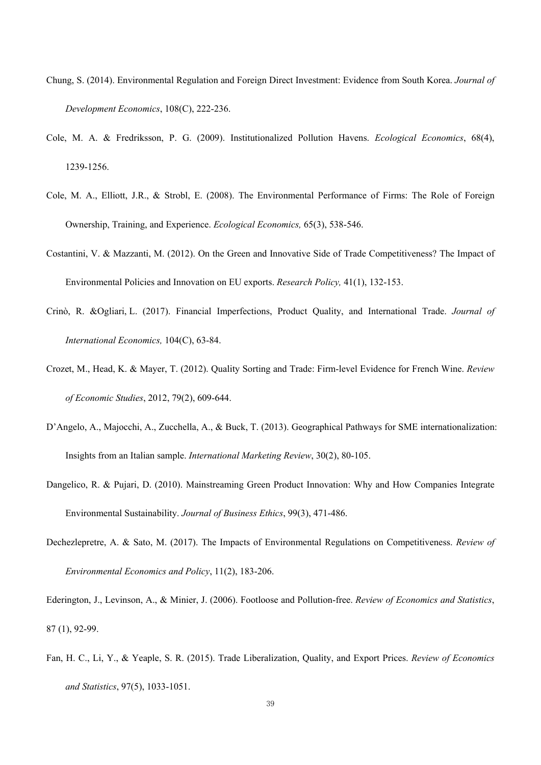- Chung, S. (2014). Environmental Regulation and Foreign Direct Investment: Evidence from South Korea. *Journal of Development Economics*, 108(C), 222-236.
- Cole, M. A. & Fredriksson, P. G. (2009). Institutionalized Pollution Havens. *Ecological Economics*, 68(4), 1239-1256.
- Cole, M. A., Elliott, J.R., & Strobl, E. (2008). The Environmental Performance of Firms: The Role of Foreign Ownership, Training, and Experience. *Ecological Economics,* 65(3), 538-546.
- Costantini, V. & Mazzanti, M. (2012). On the Green and Innovative Side of Trade Competitiveness? The Impact of Environmental Policies and Innovation on EU exports. *Research Policy,* 41(1), 132-153.
- Crinò, R. &Ogliari, L. (2017). Financial Imperfections, Product Quality, and International Trade. *Journal of International Economics,* 104(C), 63-84.
- Crozet, M., Head, K. & Mayer, T. (2012). Quality Sorting and Trade: Firm-level Evidence for French Wine. *Review of Economic Studies*, 2012, 79(2), 609-644.
- D'Angelo, A., Majocchi, A., Zucchella, A., & Buck, T. (2013). Geographical Pathways for SME internationalization: Insights from an Italian sample. *International Marketing Review*, 30(2), 80-105.
- Dangelico, R. & Pujari, D. (2010). Mainstreaming Green Product Innovation: Why and How Companies Integrate Environmental Sustainability. *Journal of Business Ethics*, 99(3), 471-486.
- Dechezlepretre, A. & Sato, M. (2017). The Impacts of Environmental Regulations on Competitiveness. *Review of Environmental Economics and Policy*, 11(2), 183-206.
- Ederington, J., Levinson, A., & Minier, J. (2006). Footloose and Pollution-free. *Review of Economics and Statistics*, 87 (1), 92-99.
- Fan, H. C., Li, Y., & Yeaple, S. R. (2015). Trade Liberalization, Quality, and Export Prices. *Review of Economics and Statistics*, 97(5), 1033-1051.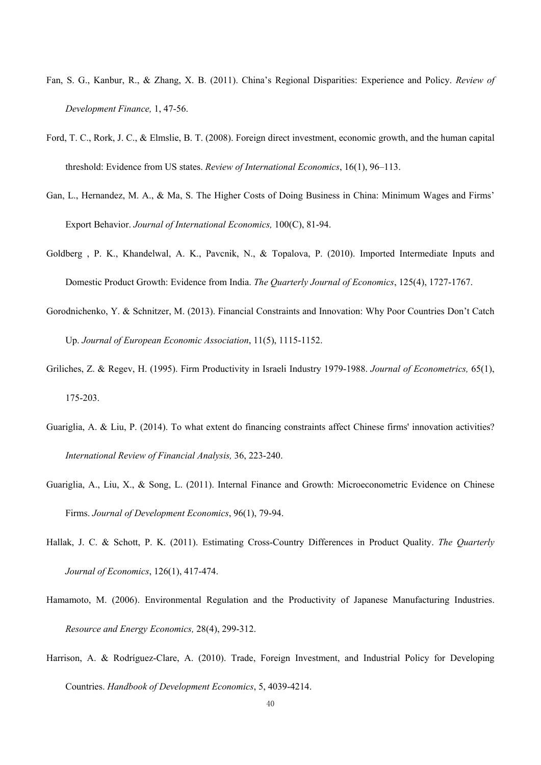- Fan, S. G., Kanbur, R., & Zhang, X. B. (2011). China's Regional Disparities: Experience and Policy. *Review of Development Finance,* 1, 47-56.
- Ford, T. C., Rork, J. C., & Elmslie, B. T. (2008). Foreign direct investment, economic growth, and the human capital threshold: Evidence from US states. *Review of International Economics*, 16(1), 96–113.
- Gan, L., Hernandez, M. A., & Ma, S. The Higher Costs of Doing Business in China: Minimum Wages and Firms' Export Behavior. *Journal of International Economics,* 100(C), 81-94.
- Goldberg , P. K., Khandelwal, A. K., Pavcnik, N., & Topalova, P. (2010). Imported Intermediate Inputs and Domestic Product Growth: Evidence from India. *The Quarterly Journal of Economics*, 125(4), 1727-1767.
- Gorodnichenko, Y. & Schnitzer, M. (2013). Financial Constraints and Innovation: Why Poor Countries Don't Catch Up. *Journal of European Economic Association*, 11(5), 1115-1152.
- Griliches, Z. & Regev, H. (1995). Firm Productivity in Israeli Industry 1979-1988. *Journal of Econometrics,* 65(1), 175-203.
- Guariglia, A. & Liu, P. (2014). To what extent do financing constraints affect Chinese firms' innovation activities? *International Review of Financial Analysis,* 36, 223-240.
- Guariglia, A., Liu, X., & Song, L. (2011). Internal Finance and Growth: Microeconometric Evidence on Chinese Firms. *Journal of Development Economics*, 96(1), 79-94.
- Hallak, J. C. & Schott, P. K. (2011). Estimating Cross-Country Differences in Product Quality. *The Quarterly Journal of Economics*, 126(1), 417-474.
- Hamamoto, M. (2006). Environmental Regulation and the Productivity of Japanese Manufacturing Industries. *Resource and Energy Economics,* 28(4), 299-312.
- Harrison, A. & Rodríguez-Clare, A. (2010). Trade, Foreign Investment, and Industrial Policy for Developing Countries. *Handbook of Development Economics*, 5, 4039-4214.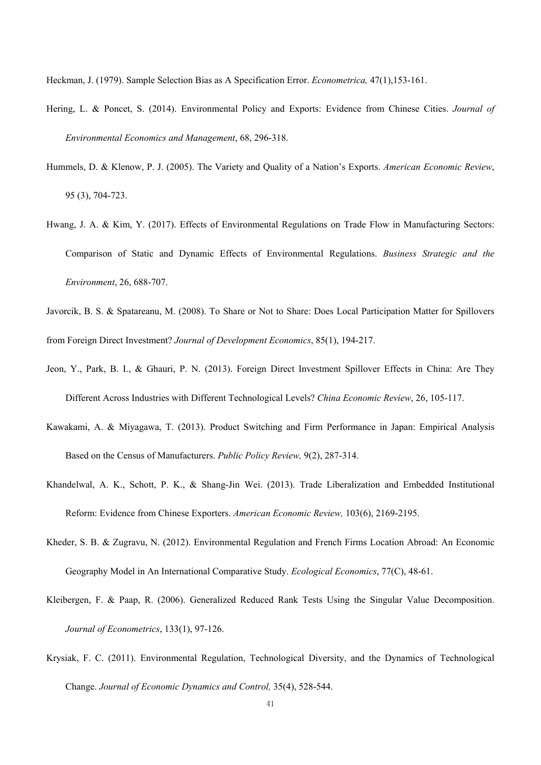Heckman, J. (1979). Sample Selection Bias as A Specification Error. *Econometrica,* 47(1),153-161.

- Hering, L. & Poncet, S. (2014). Environmental Policy and Exports: Evidence from Chinese Cities. *Journal of Environmental Economics and Management*, 68, 296-318.
- Hummels, D. & Klenow, P. J. (2005). The Variety and Quality of a Nation's Exports. *American Economic Review*, 95 (3), 704-723.
- Hwang, J. A. & Kim, Y. (2017). Effects of Environmental Regulations on Trade Flow in Manufacturing Sectors: Comparison of Static and Dynamic Effects of Environmental Regulations. *Business Strategic and the Environment*, 26, 688-707.
- Javorcik, B. S. & Spatareanu, M. (2008). To Share or Not to Share: Does Local Participation Matter for Spillovers from Foreign Direct Investment? *Journal of Development Economics*, 85(1), 194-217.
- Jeon, Y., Park, B. I., & Ghauri, P. N. (2013). Foreign Direct Investment Spillover Effects in China: Are They Different Across Industries with Different Technological Levels? *China Economic Review*, 26, 105-117.
- Kawakami, A. & Miyagawa, T. (2013). Product Switching and Firm Performance in Japan: Empirical Analysis Based on the Census of Manufacturers. *Public Policy Review,* 9(2), 287-314.
- Khandelwal, A. K., Schott, P. K., & Shang-Jin Wei. (2013). Trade Liberalization and Embedded Institutional Reform: Evidence from Chinese Exporters. *American Economic Review,* 103(6), 2169-2195.
- Kheder, S. B. & Zugravu, N. (2012). Environmental Regulation and French Firms Location Abroad: An Economic Geography Model in An International Comparative Study. *Ecological Economics*, 77(C), 48-61.
- Kleibergen, F. & Paap, R. (2006). Generalized Reduced Rank Tests Using the Singular Value Decomposition. *Journal of Econometrics*, 133(1), 97-126.
- Krysiak, F. C. (2011). Environmental Regulation, Technological Diversity, and the Dynamics of Technological Change. *Journal of Economic Dynamics and Control,* 35(4), 528-544.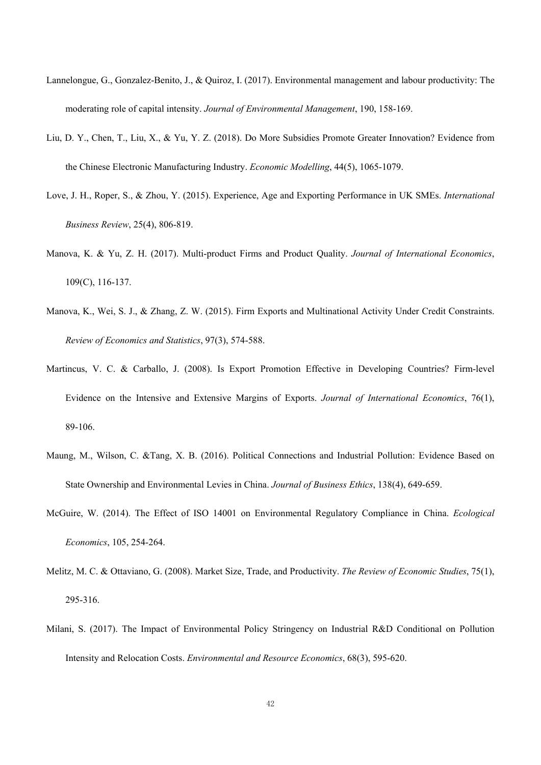- Lannelongue, G., Gonzalez-Benito, J., & Quiroz, I. (2017). Environmental management and labour productivity: The moderating role of capital intensity. *Journal of Environmental Management*, 190, 158-169.
- Liu, D. Y., Chen, T., Liu, X., & Yu, Y. Z. (2018). Do More Subsidies Promote Greater Innovation? Evidence from the Chinese Electronic Manufacturing Industry. *Economic Modelling*, 44(5), 1065-1079.
- Love, J. H., Roper, S., & Zhou, Y. (2015). Experience, Age and Exporting Performance in UK SMEs. *International Business Review*, 25(4), 806-819.
- Manova, K. & Yu, Z. H. (2017). Multi-product Firms and Product Quality. *Journal of International Economics*, 109(C), 116-137.
- Manova, K., Wei, S. J., & Zhang, Z. W. (2015). Firm Exports and Multinational Activity Under Credit Constraints. *Review of Economics and Statistics*, 97(3), 574-588.
- Martincus, V. C. & Carballo, J. (2008). Is Export Promotion Effective in Developing Countries? Firm-level Evidence on the Intensive and Extensive Margins of Exports. *Journal of International Economics*, 76(1), 89-106.
- Maung, M., Wilson, C. &Tang, X. B. (2016). Political Connections and Industrial Pollution: Evidence Based on State Ownership and Environmental Levies in China. *Journal of Business Ethics*, 138(4), 649-659.
- McGuire, W. (2014). The Effect of ISO 14001 on Environmental Regulatory Compliance in China. *Ecological Economics*, 105, 254-264.
- Melitz, M. C. & Ottaviano, G. (2008). Market Size, Trade, and Productivity. *The Review of Economic Studies*, 75(1), 295-316.
- Milani, S. (2017). The Impact of Environmental Policy Stringency on Industrial R&D Conditional on Pollution Intensity and Relocation Costs. *Environmental and Resource Economics*, 68(3), 595-620.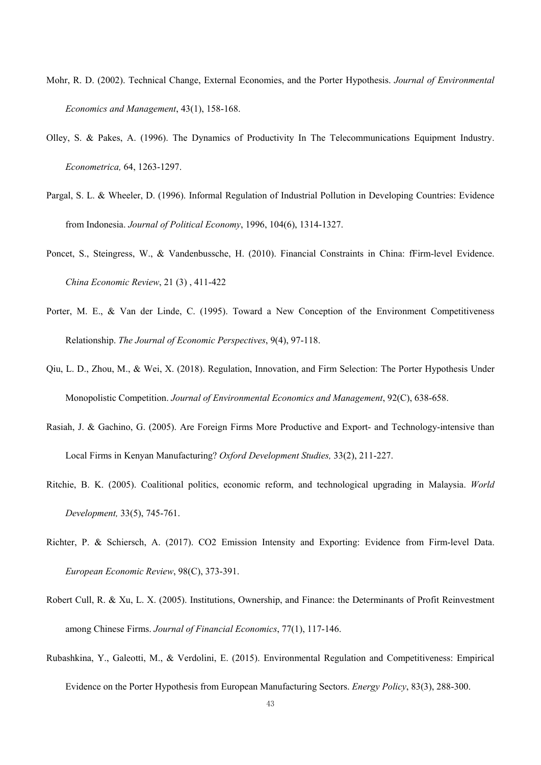- Mohr, R. D. (2002). Technical Change, External Economies, and the Porter Hypothesis. *Journal of Environmental Economics and Management*, 43(1), 158-168.
- Olley, S. & Pakes, A. (1996). The Dynamics of Productivity In The Telecommunications Equipment Industry. *Econometrica,* 64, 1263-1297.
- Pargal, S. L. & Wheeler, D. (1996). Informal Regulation of Industrial Pollution in Developing Countries: Evidence from Indonesia. *Journal of Political Economy*, 1996, 104(6), 1314-1327.
- Poncet, S., Steingress, W., & Vandenbussche, H. (2010). Financial Constraints in China: fFirm-level Evidence. *China Economic Review*, 21 (3) , 411-422
- Porter, M. E., & Van der Linde, C. (1995). Toward a New Conception of the Environment Competitiveness Relationship. *The Journal of Economic Perspectives*, 9(4), 97-118.
- Qiu, L. D., Zhou, M., & Wei, X. (2018). Regulation, Innovation, and Firm Selection: The Porter Hypothesis Under Monopolistic Competition. *Journal of Environmental Economics and Management*, 92(C), 638-658.
- Rasiah, J. & Gachino, G. (2005). Are Foreign Firms More Productive and Export- and Technology-intensive than Local Firms in Kenyan Manufacturing? *Oxford Development Studies,* 33(2), 211-227.
- Ritchie, B. K. (2005). Coalitional politics, economic reform, and technological upgrading in Malaysia. *World Development,* 33(5), 745-761.
- Richter, P. & Schiersch, A. (2017). CO2 Emission Intensity and Exporting: Evidence from Firm-level Data. *European Economic Review*, 98(C), 373-391.
- Robert Cull, R. & Xu, L. X. (2005). Institutions, Ownership, and Finance: the Determinants of Profit Reinvestment among Chinese Firms. *Journal of Financial Economics*, 77(1), 117-146.
- Rubashkina, Y., Galeotti, M., & Verdolini, E. (2015). Environmental Regulation and Competitiveness: Empirical Evidence on the Porter Hypothesis from European Manufacturing Sectors. *Energy Policy*, 83(3), 288-300.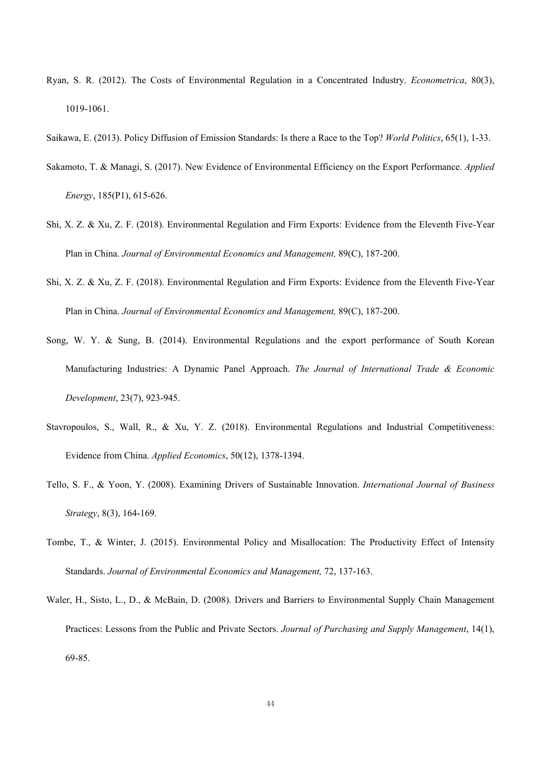- Ryan, S. R. (2012). The Costs of Environmental Regulation in a Concentrated Industry. *Econometrica*, 80(3), 1019-1061.
- Saikawa, E. (2013). Policy Diffusion of Emission Standards: Is there a Race to the Top? *World Politics*, 65(1), 1-33.
- Sakamoto, T. & Managi, S. (2017). New Evidence of Environmental Efficiency on the Export Performance. *Applied Energy*, 185(P1), 615-626.
- Shi, X. Z. & Xu, Z. F. (2018). Environmental Regulation and Firm Exports: Evidence from the Eleventh Five-Year Plan in China. *Journal of Environmental Economics and Management,* 89(C), 187-200.
- Shi, X. Z. & Xu, Z. F. (2018). Environmental Regulation and Firm Exports: Evidence from the Eleventh Five-Year Plan in China. *Journal of Environmental Economics and Management,* 89(C), 187-200.
- Song, W. Y. & Sung, B. (2014). Environmental Regulations and the export performance of South Korean Manufacturing Industries: A Dynamic Panel Approach. *The Journal of International Trade & Economic Development*, 23(7), 923-945.
- Stavropoulos, S., Wall, R., & Xu, Y. Z. (2018). Environmental Regulations and Industrial Competitiveness: Evidence from China. *Applied Economics*, 50(12), 1378-1394.
- Tello, S. F., & Yoon, Y. (2008). Examining Drivers of Sustainable Innovation. *International Journal of Business Strategy*, 8(3), 164-169.
- Tombe, T., & Winter, J. (2015). Environmental Policy and Misallocation: The Productivity Effect of Intensity Standards. *Journal of Environmental Economics and Management,* 72, 137-163.
- Waler, H., Sisto, L., D., & McBain, D. (2008). Drivers and Barriers to Environmental Supply Chain Management Practices: Lessons from the Public and Private Sectors. *Journal of Purchasing and Supply Management*, 14(1), 69-85.